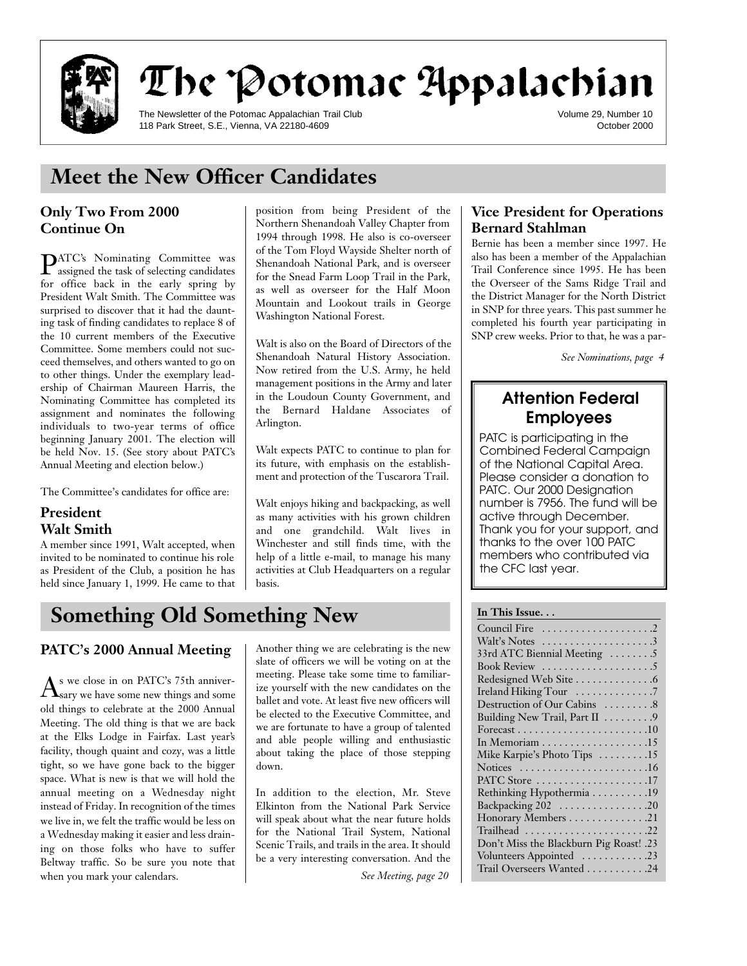

# The Potomac Appalachian

The Newsletter of the Potomac Appalachian Trail Club 118 Park Street, S.E., Vienna, VA 22180-4609

Volume 29, Number 10 October 2000

## **Meet the New Officer Candidates**

### **Only Two From 2000 Continue On**

**PATC's** Nominating Committee was<br>assigned the task of selecting candidates assigned the task of selecting candidates for office back in the early spring by President Walt Smith. The Committee was surprised to discover that it had the daunting task of finding candidates to replace 8 of the 10 current members of the Executive Committee. Some members could not succeed themselves, and others wanted to go on to other things. Under the exemplary leadership of Chairman Maureen Harris, the Nominating Committee has completed its assignment and nominates the following individuals to two-year terms of office beginning January 2001. The election will be held Nov. 15. (See story about PATC's Annual Meeting and election below.)

The Committee's candidates for office are:

#### **President Walt Smith**

A member since 1991, Walt accepted, when invited to be nominated to continue his role as President of the Club, a position he has held since January 1, 1999. He came to that position from being President of the Northern Shenandoah Valley Chapter from 1994 through 1998. He also is co-overseer of the Tom Floyd Wayside Shelter north of Shenandoah National Park, and is overseer for the Snead Farm Loop Trail in the Park, as well as overseer for the Half Moon Mountain and Lookout trails in George Washington National Forest.

Walt is also on the Board of Directors of the Shenandoah Natural History Association. Now retired from the U.S. Army, he held management positions in the Army and later in the Loudoun County Government, and the Bernard Haldane Associates of Arlington.

Walt expects PATC to continue to plan for its future, with emphasis on the establishment and protection of the Tuscarora Trail.

Walt enjoys hiking and backpacking, as well as many activities with his grown children and one grandchild. Walt lives in Winchester and still finds time, with the help of a little e-mail, to manage his many activities at Club Headquarters on a regular basis.

## Something Old Something New **In This Issue...**

### **PATC's 2000 Annual Meeting**

 ${\rm A}^{\rm s}$  we close in on PATC's 75th anniver-<br>Sary we have some new things and some sary we have some new things and some old things to celebrate at the 2000 Annual Meeting. The old thing is that we are back at the Elks Lodge in Fairfax. Last year's facility, though quaint and cozy, was a little tight, so we have gone back to the bigger space. What is new is that we will hold the annual meeting on a Wednesday night instead of Friday. In recognition of the times we live in, we felt the traffic would be less on a Wednesday making it easier and less draining on those folks who have to suffer Beltway traffic. So be sure you note that when you mark your calendars.

Another thing we are celebrating is the new slate of officers we will be voting on at the meeting. Please take some time to familiarize yourself with the new candidates on the ballet and vote. At least five new officers will be elected to the Executive Committee, and we are fortunate to have a group of talented and able people willing and enthusiastic about taking the place of those stepping down.

In addition to the election, Mr. Steve Elkinton from the National Park Service will speak about what the near future holds for the National Trail System, National Scenic Trails, and trails in the area. It should be a very interesting conversation. And the

*See Meeting, page 20* 

#### **Vice President for Operations Bernard Stahlman**

Bernie has been a member since 1997. He also has been a member of the Appalachian Trail Conference since 1995. He has been the Overseer of the Sams Ridge Trail and the District Manager for the North District in SNP for three years. This past summer he completed his fourth year participating in SNP crew weeks. Prior to that, he was a par-

*See Nominations, page 4*

# **Attention Federal**

PATC is participating in the Combined Federal Campaign of the National Capital Area. Please consider a donation to PATC. Our 2000 Designation number is 7956. The fund will be active through December. Thank you for your support, and thanks to the over 100 PATC members who contributed via members mile commedied ma<br>the CEC last vear  $t_{\rm r}$  is the creative year.

| Walt's Notes $\dots\dots\dots\dots\dots\dots3$             |
|------------------------------------------------------------|
| 33rd ATC Biennial Meeting 5                                |
| Book Review $\dots\dots\dots\dots\dots\dots\dots$          |
|                                                            |
| Ireland Hiking Tour 7                                      |
| Destruction of Our Cabins  8                               |
| Building New Trail, Part II 9                              |
|                                                            |
| In Memoriam $\dots \dots \dots \dots \dots \dots \dots 15$ |
| Mike Karpie's Photo Tips 15                                |
| Notices $\dots\dots\dots\dots\dots\dots\dots\dots$         |
| PATC Store 17                                              |
| Rethinking Hypothermia 19                                  |
| Backpacking 202 20                                         |
| Honorary Members 21                                        |
| Trailhead 22                                               |
| Don't Miss the Blackburn Pig Roast! .23                    |
| Volunteers Appointed 23                                    |
| Trail Overseers Wanted 24                                  |
|                                                            |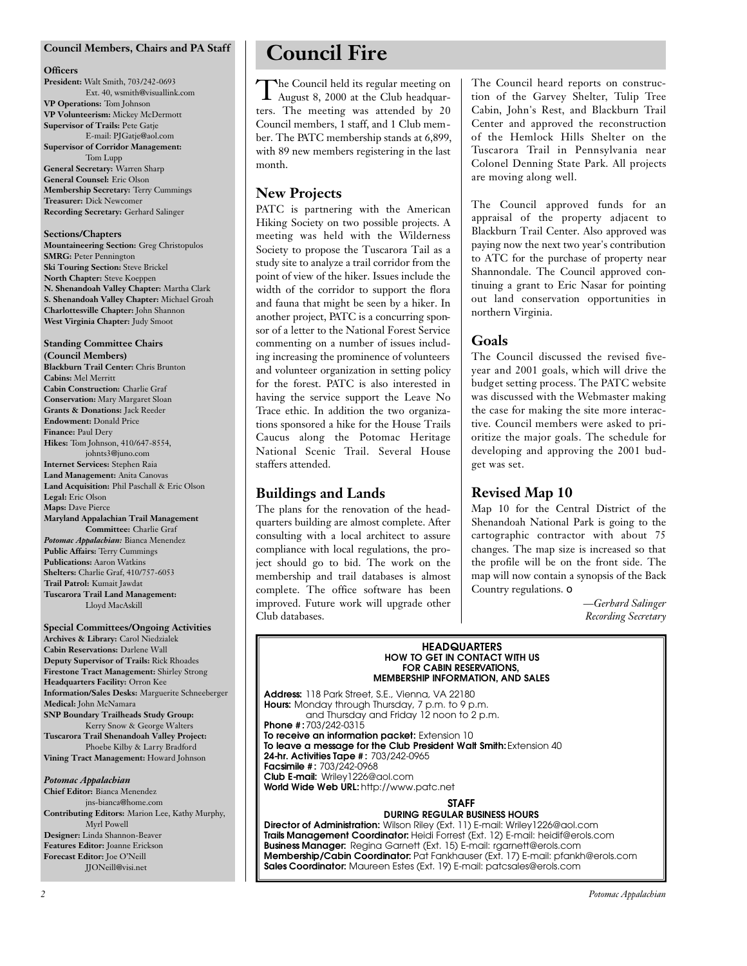#### **Council Members, Chairs and PA Staff**

#### **Officers**

**President:** Walt Smith, 703/242-0693 Ext. 40, wsmith@visuallink.com **VP Operations:** Tom Johnson **VP Volunteerism:** Mickey McDermott **Supervisor of Trails:** Pete Gatje E-mail: PJGatje@aol.com

**Supervisor of Corridor Management:** Tom Lupp

**General Secretary:** Warren Sharp **General Counsel:** Eric Olson **Membership Secretary:** Terry Cummings **Treasurer:** Dick Newcomer **Recording Secretary:** Gerhard Salinger

#### **Sections/Chapters**

**Mountaineering Section:** Greg Christopulos **SMRG:** Peter Pennington **Ski Touring Section:** Steve Brickel **North Chapter:** Steve Koeppen **N. Shenandoah Valley Chapter:** Martha Clark **S. Shenandoah Valley Chapter:** Michael Groah **Charlottesville Chapter:** John Shannon **West Virginia Chapter:** Judy Smoot

#### **Standing Committee Chairs**

**(Council Members) Blackburn Trail Center:** Chris Brunton **Cabins:** Mel Merritt **Cabin Construction:** Charlie Graf **Conservation:** Mary Margaret Sloan **Grants & Donations:** Jack Reeder **Endowment:** Donald Price **Finance:** Paul Dery **Hikes:** Tom Johnson, 410/647-8554, johnts3@juno.com **Internet Services:** Stephen Raia **Land Management:** Anita Canovas **Land Acquisition:** Phil Paschall & Eric Olson **Legal:** Eric Olson **Maps:** Dave Pierce **Maryland Appalachian Trail Management Committee:** Charlie Graf *Potomac Appalachian:* Bianca Menendez **Public Affairs:** Terry Cummings **Publications:** Aaron Watkins **Shelters:** Charlie Graf, 410/757-6053 **Trail Patrol:** Kumait Jawdat **Tuscarora Trail Land Management:** Lloyd MacAskill

#### **Special Committees/Ongoing Activities Archives & Library:** Carol Niedzialek **Cabin Reservations:** Darlene Wall **Deputy Supervisor of Trails:** Rick Rhoades **Firestone Tract Management:** Shirley Strong **Headquarters Facility:** Orron Kee **Information/Sales Desks:** Marguerite Schneeberger **Medical:** John McNamara **SNP Boundary Trailheads Study Group:** Kerry Snow & George Walters **Tuscarora Trail Shenandoah Valley Project:**

Phoebe Kilby & Larry Bradford **Vining Tract Management:** Howard Johnson

#### *Potomac Appalachian*

**Chief Editor:** Bianca Menendez jns-bianca@home.com **Contributing Editors:** Marion Lee, Kathy Murphy, Myrl Powell **Designer:** Linda Shannon-Beaver **Features Editor:** Joanne Erickson **Forecast Editor:** Joe O'Neill JJONeill@visi.net

## **Council Fire**

The Council held its regular meeting on<br>August 8, 2000 at the Club headquarhe Council held its regular meeting on ters. The meeting was attended by 20 Council members, 1 staff, and 1 Club member. The PATC membership stands at 6,899, with 89 new members registering in the last month.

#### **New Projects**

PATC is partnering with the American Hiking Society on two possible projects. A meeting was held with the Wilderness Society to propose the Tuscarora Tail as a study site to analyze a trail corridor from the point of view of the hiker. Issues include the width of the corridor to support the flora and fauna that might be seen by a hiker. In another project, PATC is a concurring sponsor of a letter to the National Forest Service commenting on a number of issues including increasing the prominence of volunteers and volunteer organization in setting policy for the forest. PATC is also interested in having the service support the Leave No Trace ethic. In addition the two organizations sponsored a hike for the House Trails Caucus along the Potomac Heritage National Scenic Trail. Several House staffers attended.

#### **Buildings and Lands**

The plans for the renovation of the headquarters building are almost complete. After consulting with a local architect to assure compliance with local regulations, the project should go to bid. The work on the membership and trail databases is almost complete. The office software has been improved. Future work will upgrade other Club databases.

The Council heard reports on construction of the Garvey Shelter, Tulip Tree Cabin, John's Rest, and Blackburn Trail Center and approved the reconstruction of the Hemlock Hills Shelter on the Tuscarora Trail in Pennsylvania near Colonel Denning State Park. All projects are moving along well.

The Council approved funds for an appraisal of the property adjacent to Blackburn Trail Center. Also approved was paying now the next two year's contribution to ATC for the purchase of property near Shannondale. The Council approved continuing a grant to Eric Nasar for pointing out land conservation opportunities in northern Virginia.

#### **Goals**

The Council discussed the revised fiveyear and 2001 goals, which will drive the budget setting process. The PATC website was discussed with the Webmaster making the case for making the site more interactive. Council members were asked to prioritize the major goals. The schedule for developing and approving the 2001 budget was set.

#### **Revised Map 10**

Map 10 for the Central District of the Shenandoah National Park is going to the cartographic contractor with about 75 changes. The map size is increased so that the profile will be on the front side. The map will now contain a synopsis of the Back Country regulations. ❏

> *—Gerhard Salinger Recording Secretary*

#### **HEADQUARTERS**<br>HOW TO GET IN CONTACT WITH US **FOR CABIN RESERVATIONS. FOR CABIN RESERVATIONS,**

**MEMBERSHIP INFORMATION, AND SALES Address:** 118 Park Street, S.E., Vienna, VA 22180 **Hours:** Monday through Thursday, 7 p.m. to 9 p.m. and Thursday and Friday 12 noon to 2 p.m. **Phone #: 703/242-0315<br>To receive an information packet: Extension 10** To leave a message for the Club President Walt Smith: Extension 40 **24-hr. Activities Tape #: 703/242-0965 Facsimile #: 703/242-0968 Club E-mail: Wrilev1226@aol.com Club E-mail:** Wriley1226@aol.com **World Wide Web URL:** http://www.patc.net

## **STAFF<br>DURING REGULAR BUSINESS HOURS**

D'ONING NEOGER IN BOOILIEGG HOURG<br>Wilson Riley (Ext. 11) F-mail: Wriley11 **Director of Administration:** Wilson Riley (Ext. 11) E-mail: Wriley1226@aol.com Business Manager: Regina Garnett (Ext. 15) E-mail: rgarnett@erols.com **Membership/Cabin Coordinator:** Pat Fankhauser (Ext. 17) E-mail: pfankh@erols.com **Membership/Cabin Coordinator:** Pat Fankhauser (Ext. 17) E-mail: pfankh@erols.com **Sales Coordinator:** Maureen Estes (Ext. 19) E-mail: patcsales@erols.com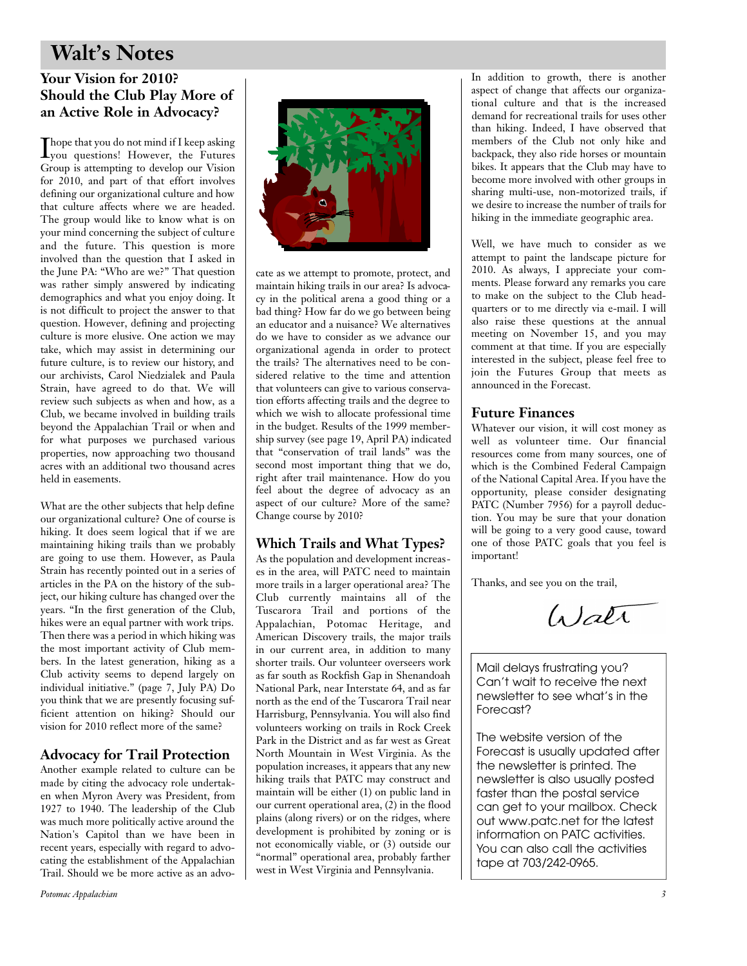## **Walt's Notes**

### **Your Vision for 2010? Should the Club Play More of an Active Role in Advocacy?**

Thope that you do not mind if I keep asking<br>you questions! However, the Futures you questions! However, the Futures Group is attempting to develop our Vision for 2010, and part of that effort involves defining our organizational culture and how that culture affects where we are headed. The group would like to know what is on your mind concerning the subject of culture and the future. This question is more involved than the question that I asked in the June PA: "Who are we?" That question was rather simply answered by indicating demographics and what you enjoy doing. It is not difficult to project the answer to that question. However, defining and projecting culture is more elusive. One action we may take, which may assist in determining our future culture, is to review our history, and our archivists, Carol Niedzialek and Paula Strain, have agreed to do that. We will review such subjects as when and how, as a Club, we became involved in building trails beyond the Appalachian Trail or when and for what purposes we purchased various properties, now approaching two thousand acres with an additional two thousand acres held in easements.

What are the other subjects that help define our organizational culture? One of course is hiking. It does seem logical that if we are maintaining hiking trails than we probably are going to use them. However, as Paula Strain has recently pointed out in a series of articles in the PA on the history of the subject, our hiking culture has changed over the years. "In the first generation of the Club, hikes were an equal partner with work trips. Then there was a period in which hiking was the most important activity of Club members. In the latest generation, hiking as a Club activity seems to depend largely on individual initiative." (page 7, July PA) Do you think that we are presently focusing sufficient attention on hiking? Should our vision for 2010 reflect more of the same?

#### **Advocacy for Trail Protection**

Another example related to culture can be made by citing the advocacy role undertaken when Myron Avery was President, from 1927 to 1940. The leadership of the Club was much more politically active around the Nation's Capitol than we have been in recent years, especially with regard to advocating the establishment of the Appalachian Trail. Should we be more active as an advo-



cate as we attempt to promote, protect, and maintain hiking trails in our area? Is advocacy in the political arena a good thing or a bad thing? How far do we go between being an educator and a nuisance? We alternatives do we have to consider as we advance our organizational agenda in order to protect the trails? The alternatives need to be considered relative to the time and attention that volunteers can give to various conservation efforts affecting trails and the degree to which we wish to allocate professional time in the budget. Results of the 1999 membership survey (see page 19, April PA) indicated that "conservation of trail lands" was the second most important thing that we do, right after trail maintenance. How do you feel about the degree of advocacy as an aspect of our culture? More of the same? Change course by 2010?

### **Which Trails and What Types?**

As the population and development increases in the area, will PATC need to maintain more trails in a larger operational area? The Club currently maintains all of the Tuscarora Trail and portions of the Appalachian, Potomac Heritage, and American Discovery trails, the major trails in our current area, in addition to many shorter trails. Our volunteer overseers work as far south as Rockfish Gap in Shenandoah National Park, near Interstate 64, and as far north as the end of the Tuscarora Trail near Harrisburg, Pennsylvania. You will also find volunteers working on trails in Rock Creek Park in the District and as far west as Great North Mountain in West Virginia. As the population increases, it appears that any new hiking trails that PATC may construct and maintain will be either (1) on public land in our current operational area, (2) in the flood plains (along rivers) or on the ridges, where development is prohibited by zoning or is not economically viable, or (3) outside our "normal" operational area, probably farther west in West Virginia and Pennsylvania.

In addition to growth, there is another aspect of change that affects our organizational culture and that is the increased demand for recreational trails for uses other than hiking. Indeed, I have observed that members of the Club not only hike and backpack, they also ride horses or mountain bikes. It appears that the Club may have to become more involved with other groups in sharing multi-use, non-motorized trails, if we desire to increase the number of trails for hiking in the immediate geographic area.

Well, we have much to consider as we attempt to paint the landscape picture for 2010. As always, I appreciate your comments. Please forward any remarks you care to make on the subject to the Club headquarters or to me directly via e-mail. I will also raise these questions at the annual meeting on November 15, and you may comment at that time. If you are especially interested in the subject, please feel free to join the Futures Group that meets as announced in the Forecast.

### **Future Finances**

Whatever our vision, it will cost money as well as volunteer time. Our financial resources come from many sources, one of which is the Combined Federal Campaign of the National Capital Area. If you have the opportunity, please consider designating PATC (Number 7956) for a payroll deduction. You may be sure that your donation will be going to a very good cause, toward one of those PATC goals that you feel is important!

Thanks, and see you on the trail,

Water

Mail delays frustrating you?<br>Can't wait to receive the next newsletter to see what's in the Forecast? Processes .<br>.

The website version of the<br>Forecast is usually updated after the newsletter is printed. The newsletter is also usually posted. faster than the postal service can get to your mailbox. Check out www.patc.net for the latest information on PATC activities. You can also call the activities. Tou can falso call the activities<br>tane at 703/242-0065  $t = 3703$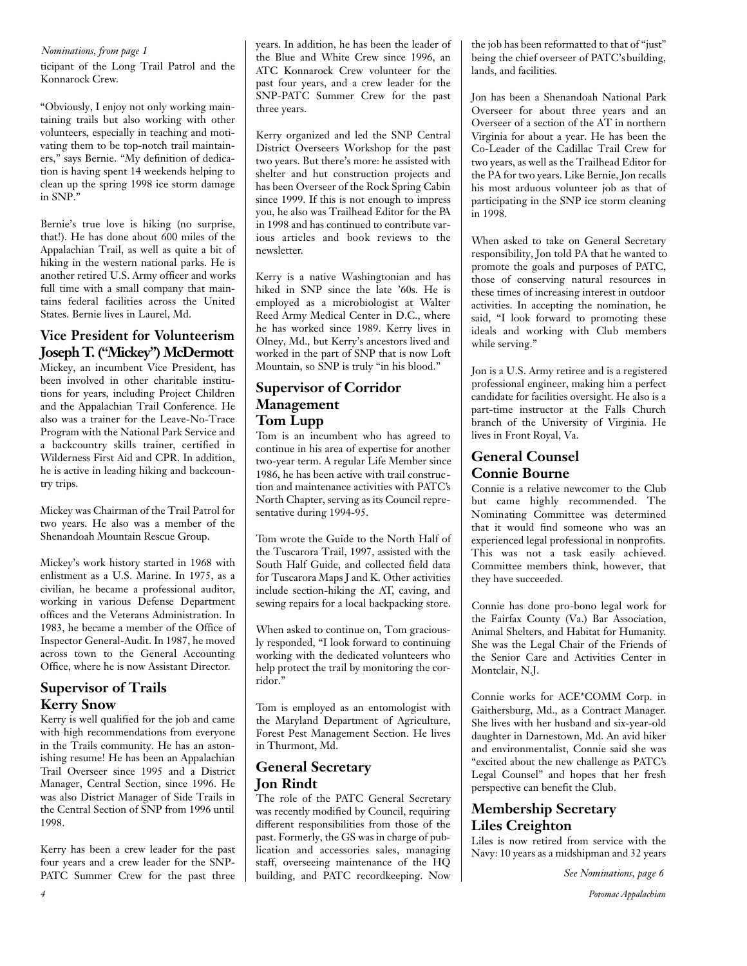*Nominations, from page 1*

ticipant of the Long Trail Patrol and the Konnarock Crew.

"Obviously, I enjoy not only working maintaining trails but also working with other volunteers, especially in teaching and motivating them to be top-notch trail maintainers," says Bernie. "My definition of dedication is having spent 14 weekends helping to clean up the spring 1998 ice storm damage in SNP."

Bernie's true love is hiking (no surprise, that!). He has done about 600 miles of the Appalachian Trail, as well as quite a bit of hiking in the western national parks. He is another retired U.S. Army officer and works full time with a small company that maintains federal facilities across the United States. Bernie lives in Laurel, Md.

### **Vice President for Volunteerism Joseph T. ("Mickey") McDermott**

Mickey, an incumbent Vice President, has been involved in other charitable institutions for years, including Project Children and the Appalachian Trail Conference. He also was a trainer for the Leave-No-Trace Program with the National Park Service and a backcountry skills trainer, certified in Wilderness First Aid and CPR. In addition, he is active in leading hiking and backcountry trips.

Mickey was Chairman of the Trail Patrol for two years. He also was a member of the Shenandoah Mountain Rescue Group.

Mickey's work history started in 1968 with enlistment as a U.S. Marine. In 1975, as a civilian, he became a professional auditor, working in various Defense Department offices and the Veterans Administration. In 1983, he became a member of the Office of Inspector General-Audit. In 1987, he moved across town to the General Accounting Office, where he is now Assistant Director.

#### **Supervisor of Trails Kerry Snow**

Kerry is well qualified for the job and came with high recommendations from everyone in the Trails community. He has an astonishing resume! He has been an Appalachian Trail Overseer since 1995 and a District Manager, Central Section, since 1996. He was also District Manager of Side Trails in the Central Section of SNP from 1996 until 1998.

Kerry has been a crew leader for the past four years and a crew leader for the SNP-PATC Summer Crew for the past three years. In addition, he has been the leader of the Blue and White Crew since 1996, an ATC Konnarock Crew volunteer for the past four years, and a crew leader for the SNP-PATC Summer Crew for the past three years.

Kerry organized and led the SNP Central District Overseers Workshop for the past two years. But there's more: he assisted with shelter and hut construction projects and has been Overseer of the Rock Spring Cabin since 1999. If this is not enough to impress you, he also was Trailhead Editor for the PA in 1998 and has continued to contribute various articles and book reviews to the newsletter.

Kerry is a native Washingtonian and has hiked in SNP since the late '60s. He is employed as a microbiologist at Walter Reed Army Medical Center in D.C., where he has worked since 1989. Kerry lives in Olney, Md., but Kerry's ancestors lived and worked in the part of SNP that is now Loft Mountain, so SNP is truly "in his blood."

#### **Supervisor of Corridor Management Tom Lupp**

Tom is an incumbent who has agreed to continue in his area of expertise for another two-year term. A regular Life Member since 1986, he has been active with trail construction and maintenance activities with PATC's North Chapter, serving as its Council representative during 1994-95.

Tom wrote the Guide to the North Half of the Tuscarora Trail, 1997, assisted with the South Half Guide, and collected field data for Tuscarora Maps J and K. Other activities include section-hiking the AT, caving, and sewing repairs for a local backpacking store.

When asked to continue on, Tom graciously responded, "I look forward to continuing working with the dedicated volunteers who help protect the trail by monitoring the corridor."

Tom is employed as an entomologist with the Maryland Department of Agriculture, Forest Pest Management Section. He lives in Thurmont, Md.

#### **General Secretary Jon Rindt**

The role of the PATC General Secretary was recently modified by Council, requiring different responsibilities from those of the past. Formerly, the GS was in charge of publication and accessories sales, managing staff, overseeing maintenance of the HQ building, and PATC recordkeeping. Now

the job has been reformatted to that of "just" being the chief overseer of PATC's building, lands, and facilities.

Jon has been a Shenandoah National Park Overseer for about three years and an Overseer of a section of the AT in northern Virginia for about a year. He has been the Co-Leader of the Cadillac Trail Crew for two years, as well as the Trailhead Editor for the PA for two years. Like Bernie, Jon recalls his most arduous volunteer job as that of participating in the SNP ice storm cleaning in 1998.

When asked to take on General Secretary responsibility, Jon told PA that he wanted to promote the goals and purposes of PATC, those of conserving natural resources in these times of increasing interest in outdoor activities. In accepting the nomination, he said, "I look forward to promoting these ideals and working with Club members while serving."

Jon is a U.S. Army retiree and is a registered professional engineer, making him a perfect candidate for facilities oversight. He also is a part-time instructor at the Falls Church branch of the University of Virginia. He lives in Front Royal, Va.

### **General Counsel Connie Bourne**

Connie is a relative newcomer to the Club but came highly recommended. The Nominating Committee was determined that it would find someone who was an experienced legal professional in nonprofits. This was not a task easily achieved. Committee members think, however, that they have succeeded.

Connie has done pro-bono legal work for the Fairfax County (Va.) Bar Association, Animal Shelters, and Habitat for Humanity. She was the Legal Chair of the Friends of the Senior Care and Activities Center in Montclair, N.J.

Connie works for ACE\*COMM Corp. in Gaithersburg, Md., as a Contract Manager. She lives with her husband and six-year-old daughter in Darnestown, Md. An avid hiker and environmentalist, Connie said she was "excited about the new challenge as PATC's Legal Counsel" and hopes that her fresh perspective can benefit the Club.

### **Membership Secretary Liles Creighton**

Liles is now retired from service with the Navy: 10 years as a midshipman and 32 years

*See Nominations, page 6*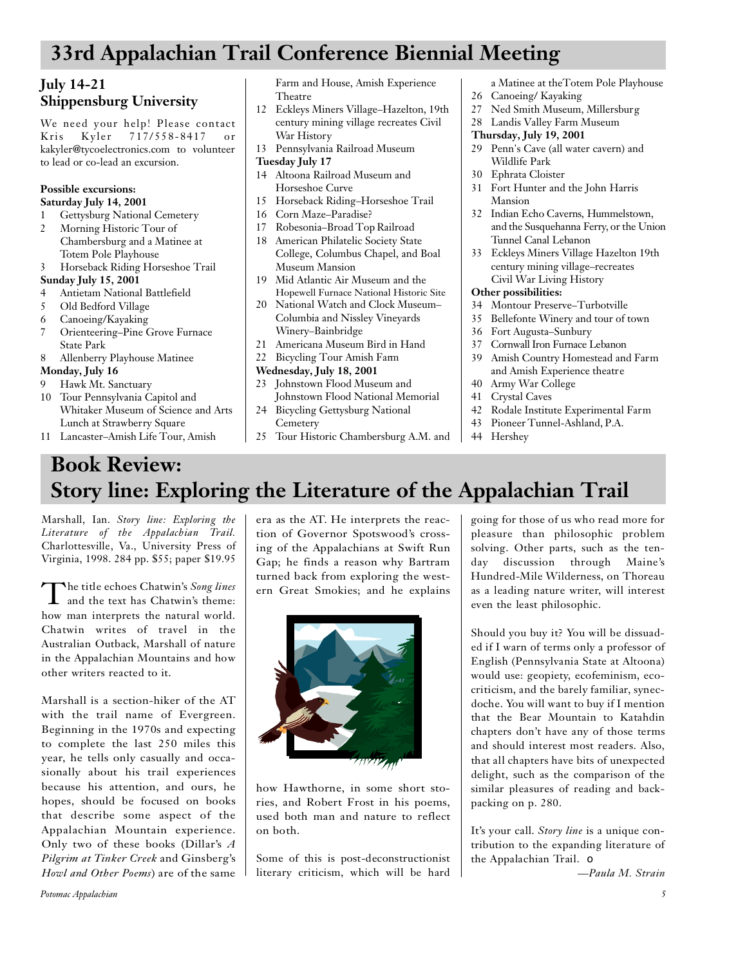## **33rd Appalachian Trail Conference Biennial Meeting**

### **July 14-21 Shippensburg University**

We need your help! Please contact Kris Kyler 717/558-8417 or kakyler@tycoelectronics.com to volunteer to lead or co-lead an excursion.

#### **Possible excursions: Saturday July 14, 2001**

- 1 Gettysburg National Cemetery
- 2 Morning Historic Tour of Chambersburg and a Matinee at Totem Pole Playhouse
- 3 Horseback Riding Horseshoe Trail

#### **Sunday July 15, 2001**

- 4 Antietam National Battlefield
- 5 Old Bedford Village
- 6 Canoeing/Kayaking
- 7 Orienteering–Pine Grove Furnace State Park

#### 8 Allenberry Playhouse Matinee

#### **Monday, July 16**

- 9 Hawk Mt. Sanctuary
- 10 Tour Pennsylvania Capitol and Whitaker Museum of Science and Arts Lunch at Strawberry Square
- 11 Lancaster–Amish Life Tour, Amish

Farm and House, Amish Experience Theatre

- 12 Eckleys Miners Village–Hazelton, 19th century mining village recreates Civil War History
- 13 Pennsylvania Railroad Museum
- **Tuesday July 17**
- 14 Altoona Railroad Museum and Horseshoe Curve
- 15 Horseback Riding–Horseshoe Trail
- 16 Corn Maze–Paradise?
- 17 Robesonia–Broad Top Railroad
- 18 American Philatelic Society State College, Columbus Chapel, and Boal Museum Mansion
- 19 Mid Atlantic Air Museum and the Hopewell Furnace National Historic Site
- 20 National Watch and Clock Museum– Columbia and Nissley Vineyards
- Winery–Bainbridge
- 21 Americana Museum Bird in Hand
- 22 Bicycling Tour Amish Farm

#### **Wednesday, July 18, 2001**

- 23 Johnstown Flood Museum and Johnstown Flood National Memorial
- 24 Bicycling Gettysburg National **Cemetery**
- 25 Tour Historic Chambersburg A.M. and

a Matinee at theTotem Pole Playhouse 26 Canoeing/ Kayaking

- 27 Ned Smith Museum, Millersburg
- 28 Landis Valley Farm Museum
- **Thursday, July 19, 2001**
- 29 Penn's Cave (all water cavern) and Wildlife Park
- 30 Ephrata Cloister
- 31 Fort Hunter and the John Harris Mansion
- 32 Indian Echo Caverns, Hummelstown, and the Susquehanna Ferry, or the Union Tunnel Canal Lebanon
- 33 Eckleys Miners Village Hazelton 19th century mining village–recreates Civil War Living History

#### **Other possibilities:**

- 34 Montour Preserve–Turbotville
- 35 Bellefonte Winery and tour of town
- 36 Fort Augusta–Sunbury
- 37 Cornwall Iron Furnace Lebanon
- 39 Amish Country Homestead and Farm and Amish Experience theatre
- 40 Army War College
- 41 Crystal Caves
- 42 Rodale Institute Experimental Farm
- 43 Pioneer Tunnel-Ashland, P.A.
- 44 Hershey

## **Book Review: Story line: Exploring the Literature of the Appalachian Trail**

Marshall, Ian. *Story line: Exploring the* Literature of the Appalachian Trail. Charlottesville, Va., University Press of Virginia, 1998. 284 pp. \$55; paper \$19.95

The title echoes Chatwin's Song lines<br>and the text has Chatwin's theme: he title echoes Chatwin's *Song lines* how man interprets the natural world. Chatwin writes of travel in the Australian Outback, Marshall of nature in the Appalachian Mountains and how other writers reacted to it.

Marshall is a section-hiker of the AT with the trail name of Evergreen. Beginning in the 1970s and expecting to complete the last 250 miles this year, he tells only casually and occasionally about his trail experiences because his attention, and ours, he hopes, should be focused on books that describe some aspect of the Appalachian Mountain experience. Only two of these books (Dillar's *A* Pilgrim at Tinker Creek and Ginsberg's *Howl and Other Poems*) are of the same

era as the AT. He interprets the reaction of Governor Spotswood's crossing of the Appalachians at Swift Run Gap; he finds a reason why Bartram turned back from exploring the western Great Smokies; and he explains



how Hawthorne, in some short stories, and Robert Frost in his poems, used both man and nature to reflect on both.

Some of this is post-deconstructionist literary criticism, which will be hard going for those of us who read more for pleasure than philosophic problem solving. Other parts, such as the tenday discussion through Maine's Hundred-Mile Wilderness, on Thoreau as a leading nature writer, will interest even the least philosophic.

Should you buy it? You will be dissuaded if I warn of terms only a professor of English (Pennsylvania State at Altoona) would use: geopiety, ecofeminism, ecocriticism, and the barely familiar, synecdoche. You will want to buy if I mention that the Bear Mountain to Katahdin chapters don't have any of those terms and should interest most readers. Also, that all chapters have bits of unexpected delight, such as the comparison of the similar pleasures of reading and backpacking on p. 280.

It's your call. *Story line* is a unique contribution to the expanding literature of the Appalachian Trail. ❏

*—Paula M. Strain*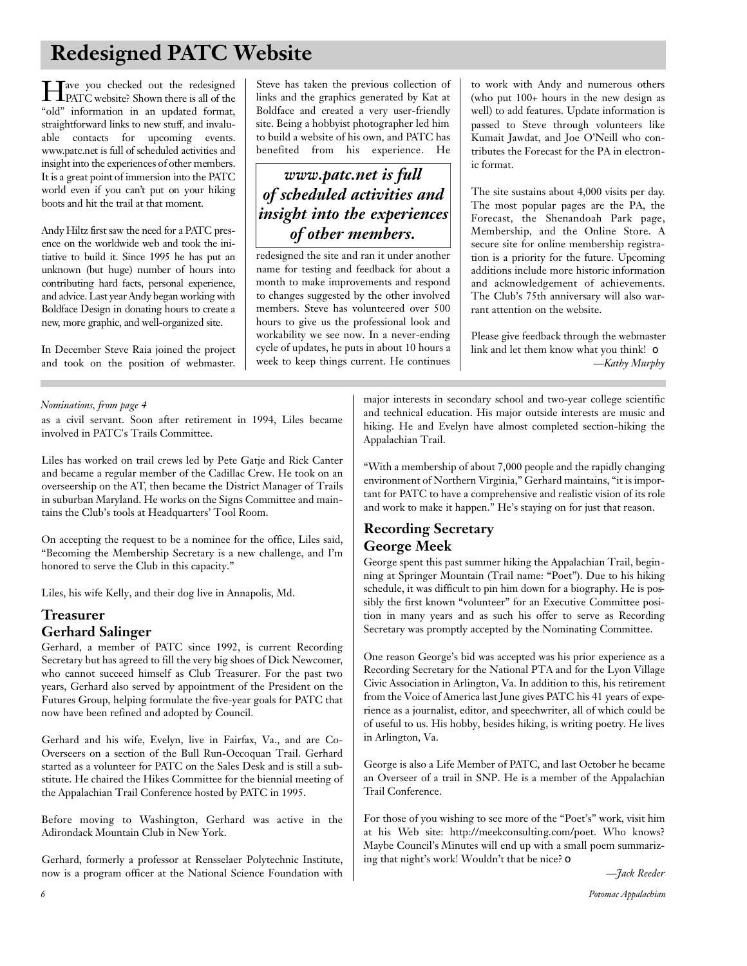## **Redesigned PATC Website**

Heart you checked out the redesigned<br>PATC website? Shown there is all of the PATC website? Shown there is all of the "old" information in an updated format, straightforward links to new stuff, and invaluable contacts for upcoming events. www.patc.net is full of scheduled activities and insight into the experiences of other members. It is a great point of immersion into the PATC world even if you can't put on your hiking boots and hit the trail at that moment.

Andy Hiltz first saw the need for a PATC presence on the worldwide web and took the initiative to build it. Since 1995 he has put an unknown (but huge) number of hours into contributing hard facts, personal experience, and advice. Last year Andy began working with Boldface Design in donating hours to create a new, more graphic, and well-organized site.

In December Steve Raia joined the project and took on the position of webmaster.

Steve has taken the previous collection of links and the graphics generated by Kat at Boldface and created a very user-friendly site. Being a hobbyist photographer led him to build a website of his own, and PATC has benefited from his experience. He

### *www.patc.net is full of scheduled activities and insight into the experiences of other members.*

redesigned the site and ran it under another name for testing and feedback for about a month to make improvements and respond to changes suggested by the other involved members. Steve has volunteered over 500 hours to give us the professional look and workability we see now. In a never-ending cycle of updates, he puts in about 10 hours a week to keep things current. He continues to work with Andy and numerous others (who put 100+ hours in the new design as well) to add features. Update information is passed to Steve through volunteers like Kumait Jawdat, and Joe O'Neill who contributes the Forecast for the PA in electronic format.

The site sustains about 4,000 visits per day. The most popular pages are the PA, the Forecast, the Shenandoah Park page, Membership, and the Online Store. A secure site for online membership registration is a priority for the future. Upcoming additions include more historic information and acknowledgement of achievements. The Club's 75th anniversary will also warrant attention on the website.

Please give feedback through the webmaster link and let them know what you think! ❏ *—Kathy Murphy*

#### *Nominations, from page 4*

as a civil servant. Soon after retirement in 1994, Liles became involved in PATC's Trails Committee.

Liles has worked on trail crews led by Pete Gatje and Rick Canter and became a regular member of the Cadillac Crew. He took on an overseership on the AT, then became the District Manager of Trails in suburban Maryland. He works on the Signs Committee and maintains the Club's tools at Headquarters' Tool Room.

On accepting the request to be a nominee for the office, Liles said, "Becoming the Membership Secretary is a new challenge, and I'm honored to serve the Club in this capacity."

Liles, his wife Kelly, and their dog live in Annapolis, Md.

### **Treasurer Gerhard Salinger**

Gerhard, a member of PATC since 1992, is current Recording Secretary but has agreed to fill the very big shoes of Dick Newcomer, who cannot succeed himself as Club Treasurer. For the past two years, Gerhard also served by appointment of the President on the Futures Group, helping formulate the five-year goals for PATC that now have been refined and adopted by Council.

Gerhard and his wife, Evelyn, live in Fairfax, Va., and are Co-Overseers on a section of the Bull Run-Occoquan Trail. Gerhard started as a volunteer for PATC on the Sales Desk and is still a substitute. He chaired the Hikes Committee for the biennial meeting of the Appalachian Trail Conference hosted by PATC in 1995.

Before moving to Washington, Gerhard was active in the Adirondack Mountain Club in New York.

Gerhard, formerly a professor at Rensselaer Polytechnic Institute, now is a program officer at the National Science Foundation with major interests in secondary school and two-year college scientific and technical education. His major outside interests are music and hiking. He and Evelyn have almost completed section-hiking the Appalachian Trail.

"With a membership of about 7,000 people and the rapidly changing environment of Northern Virginia," Gerhard maintains, "it is important for PATC to have a comprehensive and realistic vision of its role and work to make it happen." He's staying on for just that reason.

#### **Recording Secretary George Meek**

George spent this past summer hiking the Appalachian Trail, beginning at Springer Mountain (Trail name: "Poet"). Due to his hiking schedule, it was difficult to pin him down for a biography. He is possibly the first known "volunteer" for an Executive Committee position in many years and as such his offer to serve as Recording Secretary was promptly accepted by the Nominating Committee.

One reason George's bid was accepted was his prior experience as a Recording Secretary for the National PTA and for the Lyon Village Civic Association in Arlington, Va. In addition to this, his retirement from the Voice of America last June gives PATC his 41 years of experience as a journalist, editor, and speechwriter, all of which could be of useful to us. His hobby, besides hiking, is writing poetry. He lives in Arlington, Va.

George is also a Life Member of PATC, and last October he became an Overseer of a trail in SNP. He is a member of the Appalachian Trail Conference.

For those of you wishing to see more of the "Poet's" work, visit him at his Web site: http://meekconsulting.com/poet. Who knows? Maybe Council's Minutes will end up with a small poem summarizing that night's work! Wouldn't that be nice? ❏

*—Jack Reeder*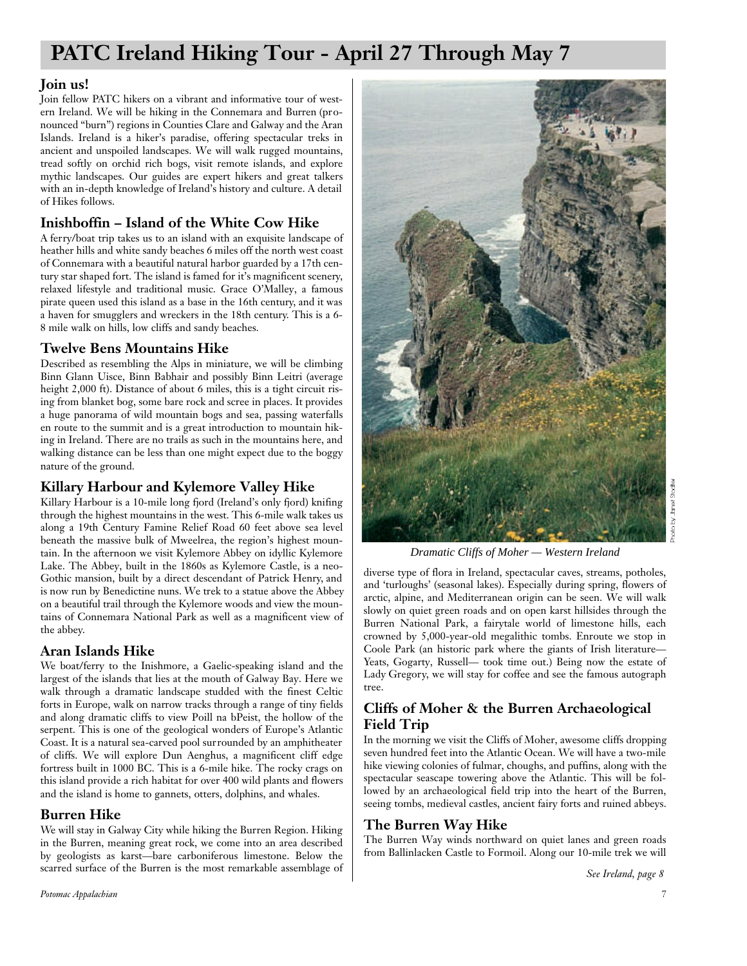## **PATC Ireland Hiking Tour - April 27 Through May 7**

#### **Join us!**

Join fellow PATC hikers on a vibrant and informative tour of western Ireland. We will be hiking in the Connemara and Burren (pronounced "burn") regions in Counties Clare and Galway and the Aran Islands. Ireland is a hiker's paradise, offering spectacular treks in ancient and unspoiled landscapes. We will walk rugged mountains, tread softly on orchid rich bogs, visit remote islands, and explore mythic landscapes. Our guides are expert hikers and great talkers with an in-depth knowledge of Ireland's history and culture. A detail of Hikes follows.

### **Inishboffin – Island of the White Cow Hike**

A ferry/boat trip takes us to an island with an exquisite landscape of heather hills and white sandy beaches 6 miles off the north west coast of Connemara with a beautiful natural harbor guarded by a 17th century star shaped fort. The island is famed for it's magnificent scenery, relaxed lifestyle and traditional music. Grace O'Malley, a famous pirate queen used this island as a base in the 16th century, and it was a haven for smugglers and wreckers in the 18th century. This is a 6- 8 mile walk on hills, low cliffs and sandy beaches.

### **Twelve Bens Mountains Hike**

Described as resembling the Alps in miniature, we will be climbing Binn Glann Uisce, Binn Babhair and possibly Binn Leitri (average height 2,000 ft). Distance of about 6 miles, this is a tight circuit rising from blanket bog, some bare rock and scree in places. It provides a huge panorama of wild mountain bogs and sea, passing waterfalls en route to the summit and is a great introduction to mountain hiking in Ireland. There are no trails as such in the mountains here, and walking distance can be less than one might expect due to the boggy nature of the ground.

### **Killary Harbour and Kylemore Valley Hike**

Killary Harbour is a 10-mile long fjord (Ireland's only fjord) knifing through the highest mountains in the west. This 6-mile walk takes us along a 19th Century Famine Relief Road 60 feet above sea level beneath the massive bulk of Mweelrea, the region's highest mountain. In the afternoon we visit Kylemore Abbey on idyllic Kylemore Lake. The Abbey, built in the 1860s as Kylemore Castle, is a neo-Gothic mansion, built by a direct descendant of Patrick Henry, and is now run by Benedictine nuns. We trek to a statue above the Abbey on a beautiful trail through the Kylemore woods and view the mountains of Connemara National Park as well as a magnificent view of the abbey.

### **Aran Islands Hike**

We boat/ferry to the Inishmore, a Gaelic-speaking island and the largest of the islands that lies at the mouth of Galway Bay. Here we walk through a dramatic landscape studded with the finest Celtic forts in Europe, walk on narrow tracks through a range of tiny fields and along dramatic cliffs to view Poill na bPeist, the hollow of the serpent. This is one of the geological wonders of Europe's Atlantic Coast. It is a natural sea-carved pool surrounded by an amphitheater of cliffs. We will explore Dun Aenghus, a magnificent cliff edge fortress built in 1000 BC. This is a 6-mile hike. The rocky crags on this island provide a rich habitat for over 400 wild plants and flowers and the island is home to gannets, otters, dolphins, and whales.

### **Burren Hike**

We will stay in Galway City while hiking the Burren Region. Hiking in the Burren, meaning great rock, we come into an area described by geologists as karst—bare carboniferous limestone. Below the scarred surface of the Burren is the most remarkable assemblage of



*Dramatic Cliffs of Moher — Western Ireland*

diverse type of flora in Ireland, spectacular caves, streams, potholes, and 'turloughs' (seasonal lakes). Especially during spring, flowers of arctic, alpine, and Mediterranean origin can be seen. We will walk slowly on quiet green roads and on open karst hillsides through the Burren National Park, a fairytale world of limestone hills, each crowned by 5,000-year-old megalithic tombs. Enroute we stop in Coole Park (an historic park where the giants of Irish literature— Yeats, Gogarty, Russell— took time out.) Being now the estate of Lady Gregory, we will stay for coffee and see the famous autograph tree.

### **Cliffs of Moher & the Burren Archaeological Field Trip**

In the morning we visit the Cliffs of Moher, awesome cliffs dropping seven hundred feet into the Atlantic Ocean. We will have a two-mile hike viewing colonies of fulmar, choughs, and puffins, along with the spectacular seascape towering above the Atlantic. This will be followed by an archaeological field trip into the heart of the Burren, seeing tombs, medieval castles, ancient fairy forts and ruined abbeys.

#### **The Burren Way Hike**

The Burren Way winds northward on quiet lanes and green roads from Ballinlacken Castle to Formoil. Along our 10-mile trek we will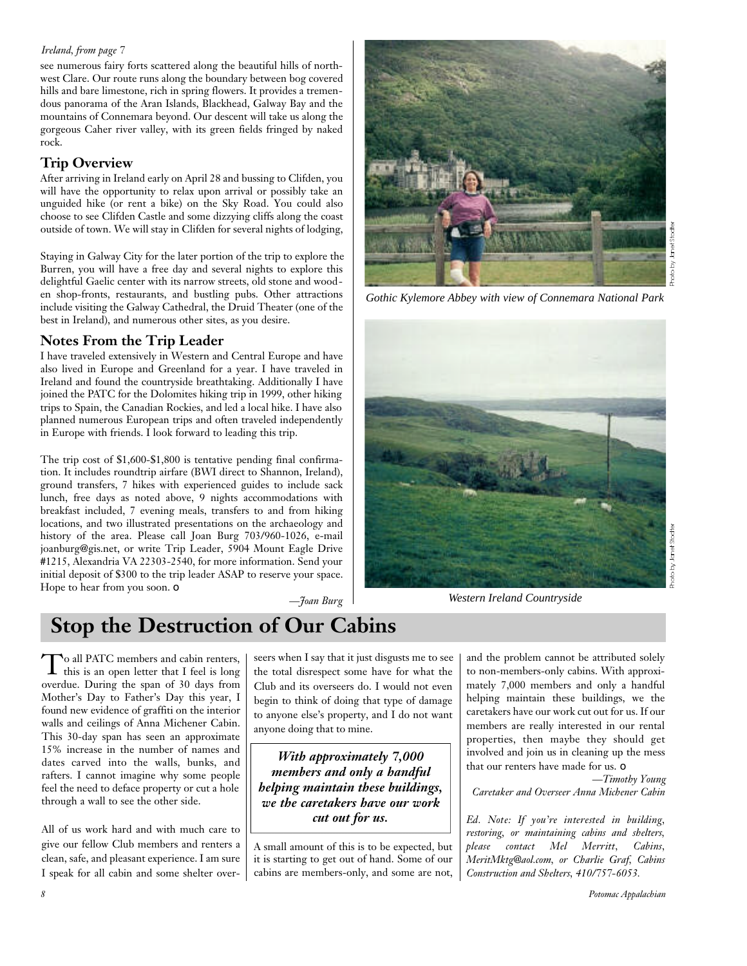#### *Ireland, from page 7*

see numerous fairy forts scattered along the beautiful hills of northwest Clare. Our route runs along the boundary between bog covered hills and bare limestone, rich in spring flowers. It provides a tremendous panorama of the Aran Islands, Blackhead, Galway Bay and the mountains of Connemara beyond. Our descent will take us along the gorgeous Caher river valley, with its green fields fringed by naked rock.

#### **Trip Overview**

After arriving in Ireland early on April 28 and bussing to Clifden, you will have the opportunity to relax upon arrival or possibly take an unguided hike (or rent a bike) on the Sky Road. You could also choose to see Clifden Castle and some dizzying cliffs along the coast outside of town. We will stay in Clifden for several nights of lodging,

Staying in Galway City for the later portion of the trip to explore the Burren, you will have a free day and several nights to explore this delightful Gaelic center with its narrow streets, old stone and wooden shop-fronts, restaurants, and bustling pubs. Other attractions include visiting the Galway Cathedral, the Druid Theater (one of the best in Ireland), and numerous other sites, as you desire.

#### **Notes From the Trip Leader**

I have traveled extensively in Western and Central Europe and have also lived in Europe and Greenland for a year. I have traveled in Ireland and found the countryside breathtaking. Additionally I have joined the PATC for the Dolomites hiking trip in 1999, other hiking trips to Spain, the Canadian Rockies, and led a local hike. I have also planned numerous European trips and often traveled independently in Europe with friends. I look forward to leading this trip.

The trip cost of \$1,600-\$1,800 is tentative pending final confirmation. It includes roundtrip airfare (BWI direct to Shannon, Ireland), ground transfers, 7 hikes with experienced guides to include sack lunch, free days as noted above, 9 nights accommodations with breakfast included, 7 evening meals, transfers to and from hiking locations, and two illustrated presentations on the archaeology and history of the area. Please call Joan Burg 703/960-1026, e-mail joanburg@gis.net, or write Trip Leader, 5904 Mount Eagle Drive #1215, Alexandria VA 22303-2540, for more information. Send your initial deposit of \$300 to the trip leader ASAP to reserve your space. Hope to hear from you soon. ❏

*—Joan Burg*



*Gothic Kylemore Abbey with view of Connemara National Park*



*Western Ireland Countryside*

## **Stop the Destruction of Our Cabins**

To all PATC members and cabin renters,<br>this is an open letter that I feel is long o all PATC members and cabin renters, overdue. During the span of 30 days from Mother's Day to Father's Day this year, I found new evidence of graffiti on the interior walls and ceilings of Anna Michener Cabin. This 30-day span has seen an approximate 15% increase in the number of names and dates carved into the walls, bunks, and rafters. I cannot imagine why some people feel the need to deface property or cut a hole through a wall to see the other side.

All of us work hard and with much care to give our fellow Club members and renters a clean, safe, and pleasant experience. I am sure I speak for all cabin and some shelter overseers when I say that it just disgusts me to see the total disrespect some have for what the Club and its overseers do. I would not even begin to think of doing that type of damage to anyone else's property, and I do not want anyone doing that to mine.

*With approximately 7,000 members and only a handful helping maintain these buildings, we the caretakers have our work cut out for us.*

A small amount of this is to be expected, but it is starting to get out of hand. Some of our cabins are members-only, and some are not,

and the problem cannot be attributed solely to non-members-only cabins. With approximately 7,000 members and only a handful helping maintain these buildings, we the caretakers have our work cut out for us. If our members are really interested in our rental properties, then maybe they should get involved and join us in cleaning up the mess that our renters have made for us. ❏

*—Timothy Young Caretaker and Overseer Anna Michener Cabin*

*Ed. Note: If you're interested in building, restoring, or maintaining cabins and shelters, please contact Mel Merritt, Cabins, MeritMktg@aol.com, or Charlie Graf, Cabins Construction and Shelters, 410/757-6053.*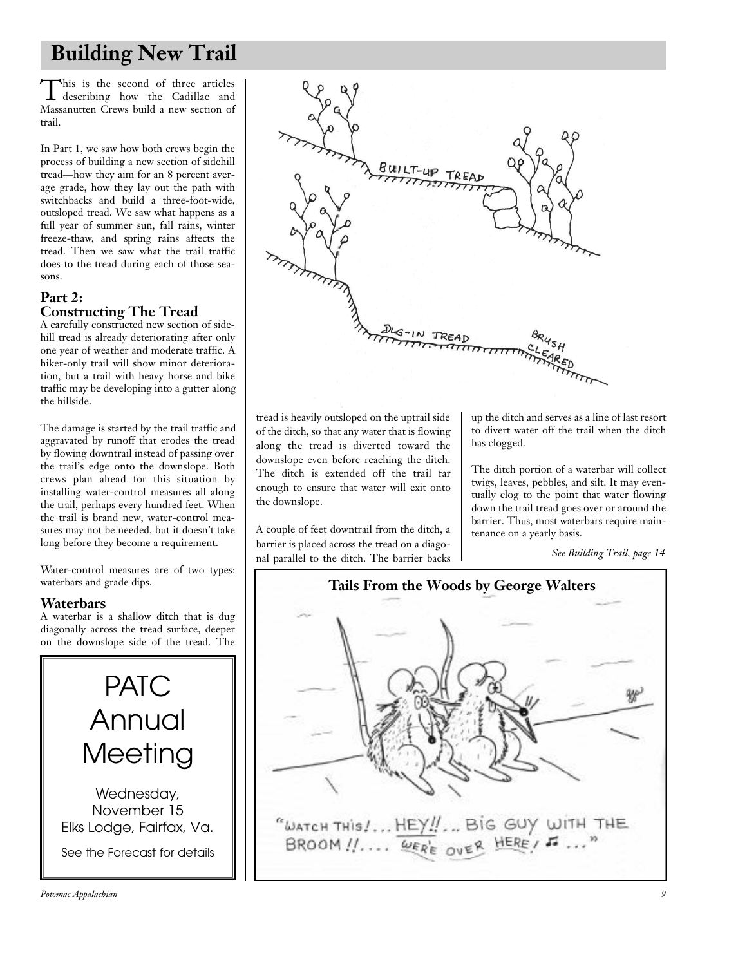## **Building New Trail**

This is the second of three articles<br>describing how the Cadillac and his is the second of three articles Massanutten Crews build a new section of trail.

In Part 1, we saw how both crews begin the process of building a new section of sidehill tread—how they aim for an 8 percent average grade, how they lay out the path with switchbacks and build a three-foot-wide, outsloped tread. We saw what happens as a full year of summer sun, fall rains, winter freeze-thaw, and spring rains affects the tread. Then we saw what the trail traffic does to the tread during each of those seasons.

#### **Part 2: Constructing The Tread**

A carefully constructed new section of sidehill tread is already deteriorating after only one year of weather and moderate traffic. A hiker-only trail will show minor deterioration, but a trail with heavy horse and bike traffic may be developing into a gutter along the hillside.

The damage is started by the trail traffic and aggravated by runoff that erodes the tread by flowing downtrail instead of passing over the trail's edge onto the downslope. Both crews plan ahead for this situation by installing water-control measures all along the trail, perhaps every hundred feet. When the trail is brand new, water-control measures may not be needed, but it doesn't take long before they become a requirement.

Water-control measures are of two types: waterbars and grade dips.

#### **Waterbars**

A waterbar is a shallow ditch that is dug diagonally across the tread surface, deeper on the downslope side of the tread. The

PATC<br>Annual , ..........<br>Maating  $\ldots$ Wednesday,<br>November 15 november 15<br>Adap Fairfav Elks Lodge, Fairfax, Va.

See the Forecast for details



tread is heavily outsloped on the uptrail side of the ditch, so that any water that is flowing along the tread is diverted toward the downslope even before reaching the ditch. The ditch is extended off the trail far enough to ensure that water will exit onto the downslope.

A couple of feet downtrail from the ditch, a barrier is placed across the tread on a diagonal parallel to the ditch. The barrier backs up the ditch and serves as a line of last resort to divert water off the trail when the ditch has clogged.

The ditch portion of a waterbar will collect twigs, leaves, pebbles, and silt. It may eventually clog to the point that water flowing down the trail tread goes over or around the barrier. Thus, most waterbars require maintenance on a yearly basis.

*See Building Trail, page 14*

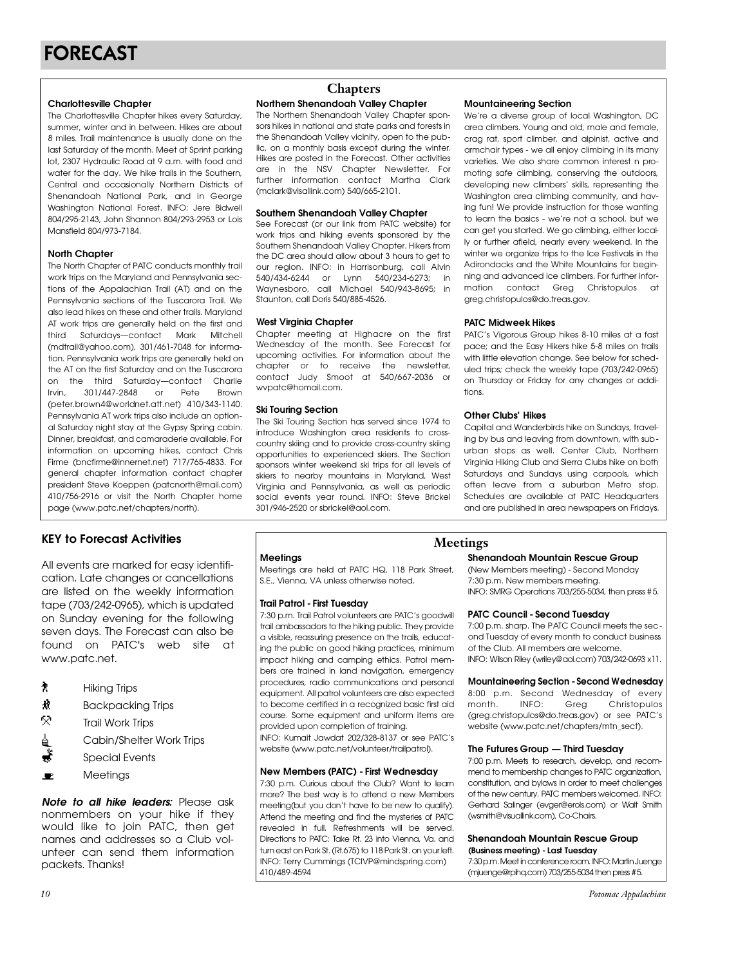**Charlottesville Chapter**<br>The Charlottesville Chapter hikes every Saturday, summer winter and in between. Hikes are about 8 miles. Trail maintenance is usually done on the last Saturday of the month. Meet at Sprint parking lot, 2307 Hydraulic Road at 9 a.m. with food and water for the day. We hike trails in the Southern, Central and occasionally Northern Districts of Shenandoah National Park, and in George Washington National Forest. INFO: Jere Bidwell 804/295-2143, John Shannon 804/293-2953 or Lois 804/270-2110/305/111011110111301/270-2700-01-2010<br>March 11004/070-7104  $M<sub>3</sub>$  and  $M<sub>3</sub>$  and  $M<sub>3</sub>$  and  $M<sub>3</sub>$ .

**North Chapter**<br>The North Chapter of PATC conducts monthly trail work trips on the Marvland and Pennsylvania sections of the Appalachian Trail (AT) and on the Pennsylvania sections of the Tuscarora Trail. We also lead hikes on these and other trails. Maryland AT work trips are generally held on the first and third Saturdays-contact Mark Mitchell (mdtrail@yahoo.com), 301/461-7048 for information. Pennsylvania work trips are generally held on the AT on the first Saturday and on the Tuscarora on the third Saturday-contact Charlie Irvin, 301/447-2848 or Pete Brown (peter.brown4@worldnet.att.net) 410/343-1140. Pennsylvania AT work trips also include an optional Saturday night stay at the Gypsy Spring cabin. Dinner, breakfast, and camaraderie available. For information on upcoming hikes, contact Chris Firme (bncfirme@innernet.net) 717/765-4833. For general chapter information contact chapter president Steve Koeppen (patcnorth@mail.com) 410/756-2916 or visit the North Chapter home  $\frac{1}{2}$ page (www.patc.net/chapters/north).

## **Meetings KEY to Forecast Activities**

All events are marked for easy identifi-<br>cation. Late changes or cancellations are listed on the weekly information tape (703/242-0965), which is updated on Sunday evening for the following seven days. The Forecast can also be seven days. The Forecast can also be found on PATC's web site at www.patc.net.

- $\pmb{\eta}$
- Hiking Trips Ń.
- 5R) **Trail Work Trips**
- Cabin/Shelter Work Trips Cabin, Shelter Work Impo
- Special Events
- $\blacksquare$ Meetings

*Note to all hike leaders:* Please ask nonmembers on your hike if they would like to join PATC, then get names and addresses so a Club volunteer can send them information unteer can send morn information packets. Thanks!

### **Chapters**

## **Northern Shenandoah Valley Chapter**<br>The Northern Shenandoah Valley Chapter spon-

sors hikes in national and state parks and forests in the Shenandoah Valley vicinity, open to the public, on a monthly basis except during the winter. Hikes are posted in the Forecast. Other activities are in the NSV Chapter Newsletter. For further information contact Martha Clark (mclark@visallink.com) 540/665-2101.  $(m_n)$  is also the communication  $(n_0)$  or  $(n_0)$  does  $\pm 1$  of  $n_0$ 

## **Southern Shenandoah Valley Chapter**<br>See Forecast (or our link from PATC website) for

work trips and hiking events sponsored by the Southern Shenandoah Valley Chapter, Hikers from the DC area should allow about 3 hours to get to our region. INFO: in Harrisonburg, call Alvin 540/434-6244 or Lynn 540/234-6273; in Waynesboro, call Michael 540/943-8695; in way not bot of the state form of the state of the state of the state of the state of the state of the state of the state of the state of the state of the state of the state of the state of the state of the state of the sta  $S$  staunton, call Done 640/888-4526.

West Virginia Chapter<br>Chapter meeting at Highacre on the first Wednesday of the month. See Forecast for upcoming activities. For information about the chapter or to receive the newsletter. contact Judy Smoot at 540/667-2036 or wynatc@homail.com. www.patcon.com.com.

**Ski Touring Section**<br>The Ski Touring Section has served since 1974 to introduce Washinaton area residents to crosscountry skiing and to provide cross-country skiing opportunities to experienced skiers. The Section sponsors winter weekend ski trips for all levels of skiers to nearby mountains in Maryland, West Virginia and Pennsylvania, as well as periodic social events year round. INFO: Steve Brickel 301/946-2520 or sbrickel@aol.com. 301/946-2520 or sphendid denoting

**Mountaineering Section**<br>We're a diverse group of local Washington, DC area climbers. Young and old, male and female, crag rat, sport climber, and alpinist, active and armchair types - we all enjoy climbing in its many varieties. We also share common interest n promoting safe climbing, conserving the outdoors, developing new climbers' skills, representing the Washington area climbing community, and having fun! We provide instruction for those wanting to learn the basics - we're not a school, but we can get you started. We go climbing, either locally or further afield, nearly every weekend. In the winter we organize trips to the Ice Festivals in the Adirondacks and the White Mountains for beainning and advanced ice climbers. For further information contact Greg Christopulos at mation contact Greg Christopulos at greg.christopulos@do.treas.gov.

**PATC Midweek Hikes** pace; and the Easy Hikers hike 5-8 miles on trails with little elevation change. See below for scheduled trips; check the weekly tape (703/242-0965) uled trips; check the weekly tape (703/242-0763)<br>-- Thomas James Citatan (800-0006-000-000-000-001-1 on Thursday or Friday for any changes or addi- $\cdots$ 

**Other Clubs' Hikes**<br>Capital and Wanderbirds hike on Sundays, traveling by bus and leaving from downtown, with suburban stops as well. Center Club, Northern Virginia Hiking Club and Sierra Clubs hike on both Saturdays and Sundays using carpools, which often leave from a suburban Metro stop. Schedules are available at PATC Headquarters Schedules are available at PATC Headquarters and are published in area newspapers on Fridays.

**Meetings** S.E., Vienna, VA unless otherwise noted, S.E., Vienna, VA unless otherwise noted.

**Trail Patrol - First Tuesday** trail ambassadors to the hiking public. They provide a visible, reassuring presence on the trails, educating the public on good hiking practices, minimum impact hiking and camping ethics. Patrol members are trained in land naviaation, emergency procedures, radio communications and personal e quipment. All patrol volunteers are also expected to become certified in a recognized basic first aid course. Some equipment and uniform items are provided upon completion of training. INFO: Kumait Jawdat 202/328-8137 or see PATC's

INFO: Kumait Sumaut 202/328-8137 or see PAT C 's website (www.patelleer/volunteer/trailpatrol).

## **New Members (PATC) - First Wednesday**<br>7:30 p.m. Curious about the Club? Want to learn

more? The best way is to attend a new Members meeting (but you don't have to be new to qualify). Attend the meeting and find the mysteries of PATC revealed in full. Refreshments will be served. Directions to PATC: Take Rt. 23 into Vienna, Va. and turn east on Park St. (Rt.675) to 118 Park St. on your left. t un roust on run en park st. (FOI) to 118 run and the st. pour left.<br>INFO: Team : Ourses le se (TOI) (DOnate streake a seco) INFO: Terry Cummings (TCIVIPER Independence)  $\frac{1}{100}$ 

## **Shenandoah Mountain Rescue Group**<br>(New Members meeting) - Second Monday

7:30 p.m. New members meeting. 7:30 p.m. New members meeting.<br>INFO: 01:4DC Operations 702:055 502 INFO: SMAC Operations 703/255-5034, informations #5.

**PATC Council - Second Tuesday**<br>7:00 p.m. sharp. The PATC Council meets the second Tuesday of every month to conduct business of the Club. All members are welcome. of the Club. All members are welcome. INFO: Wilson Riley (Willey Catchcom) 703/242-0693 x11.1.

**Mountaineering Section - Second Wednesday**<br>8:00 p.m. Second Wednesday of every month. INFO: Greg Christopulos (greg.christopulos@do.treas.gov) or see PATC's (grogionistopatose aomoasigov) or see PAT c s website (www.patc.net/chapters/mmt\_sect).

**The Futures Group — Third Tuesday** mend to membership changes to PATC organization, constitution, and bylaws in order to meet challenges of the new century. PATC members welcomed. INFO: Gerhard Salinger (evger@erols.com) or Walt Smith (wsmith@visuallink.com). Co-Chairs. (wsmith@visuallink.com), Co-Chairs.

## **Shenandoah Mountain Rescue Group**

7:30 p.m. Meet in conference room. INFO: Martin Juenge 7:30 p.m. moon in conference room. In the children room (30)<br>And up none @malpa\_a.a.ma) 702/0EE E02 4 than names # E (mjuenge@rpihq.com) 703/255-5034 then press #5.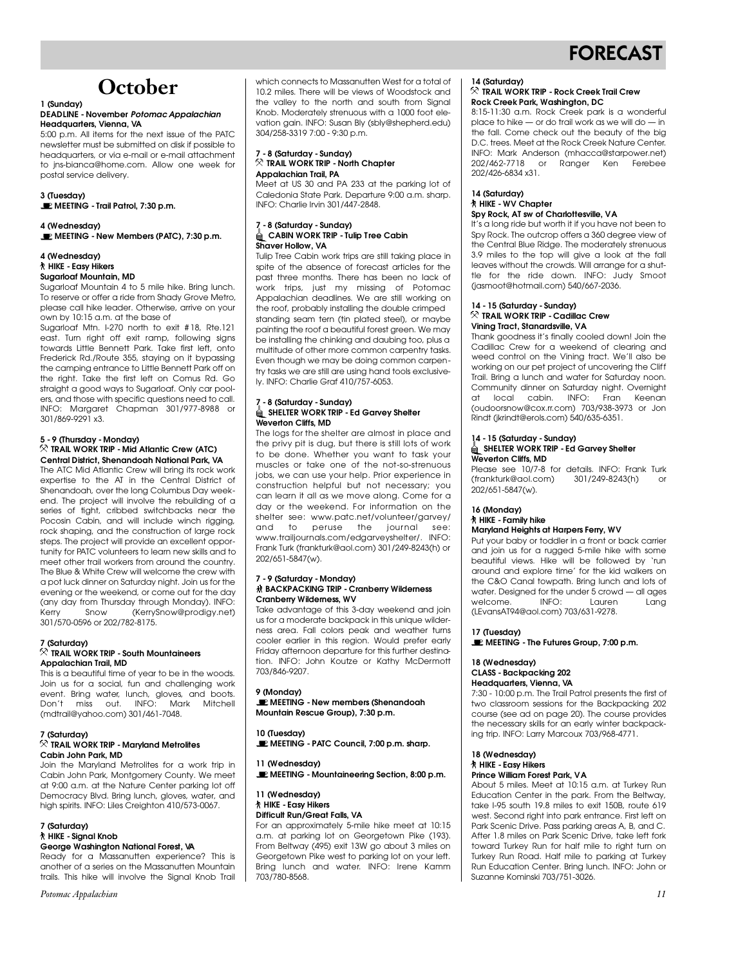

## **October**

#### **1 (Sunday) Headquarters**, Vienna, VA

5:00 p.m. All items for the next issue of the PATC newsletter must be submitted on disk if possible to headquarters, or via e-mail or e-mail attachment to ins-bianca@home.com. Allow one week for to jns-biancaehome.com. Allow one week for postal service delivery.

**3 (Tuesday) MEETING - Trail Patrol, 7:30 p.m.**

**EXAMPLE TINIC A MEETING - New Members (PATC), 7:30 p.m.**

#### **4 (Wednesday) Sugarloaf Mountain, MD**

Sugarloaf Mountain 4 to 5 mile hike. Bring lunch. To reserve or offer a ride from Shady Grove Metro, please call hike leader. Otherwise, arrive on your pwn by 10:15 a.m. at the base of

Sugarloaf Mtn. I-270 north to exit #18, Rte.121 east. Turn right off exit ramp, following signs towards Little Bennett Park. Take first left, onto Frederick Rd./Route 355, staying on it bypassing the camping entrance to Little Bennett Park off on the right. Take the first left on Comus Rd. Go straight a good ways to Sugarloaf. Only car poolers, and those with specific questions need to call. INFO: Margaret Chapman 301/977-8988 or INFO: Marg a ret Chapman 301/977-8988 or  $301/307/727/001$ 

#### **5 - 9 (Thursday - Monday) Central District, Shenandoah National Park, VA**

The ATC Mid Atlantic Crew will bring its rock work expertise to the AT in the Central District of Shenandoah, over the long Columbus Day weekend. The project will involve the rebuilding of a series of tight, cribbed switchbacks near the Pocosin Cabin, and will include winch rigging, rock shaping, and the construction of large rock steps. The project will provide an excellent opportunity for PATC volunteers to learn new skills and to  $t$  meet other trail workers from around the country. meet once was member to the come the crew with the Blue & White Crew will welcome the crew with a pot luck dinner on Saturday night. Join us for the evening or the weekend, or come out for the day (any day from Thursday through Monday). INFO: Kerry Snow (KerrySnow@prodigy.net) 301/570-0596 or 202/782-8175.  $301/370$  or  $3076$  or 202/782-8176.

#### **7 (Saturday)** Appalachian Trail, MD

This is a beautiful time of year to be in the woods. Join us for a social, fun and challenging work event. Bring water, lunch, gloves, and boots. Don't miss out. INFO: Mark Mitchell Don't miss out. Info: Mark Mitchell<br>(mdtrail@vaboo.com) 2017441 7040  $(mamame)$ ahoo.com) 301/461-7048.

#### **7 (Saturday) Cabin John Park, MD**

Join the Maryland Metrolites for a work trip in Cabin John Park, Montgomery County. We meet at 9:00 a.m. at the Nature Center parking lot off Democracy Blvd. Bring lunch, gloves, water, and Democracy Blvd. Bring lunch, gloves, water, and high spirits. In Or Liles Creighton 410/573-0067.

## **7 (Saturday)**

#### **George Washington National Forest, VA**

Ready for a Massanutten experience? This is another of a series on the Massanutten Mountain anomer or a sense on mo massanumen mountain.<br>traile, Thie hilro will involve the Sianal Kneb Trail trails. This hike will involve the Signal Knob Trail

*Potomac Appalachian*

which connects to Massanutten West for a total of<br>10.2 miles. There will be views of Woodstock and the valley to the north and south from Signal Knob. Moderately strenuous with a 1000 foot elevation gain. INFO: Susan Bly (sbly@shepherd.edu) vation gain. Info: Susan Biy (sbiyeshepherdi.edu)<br>2017-08-2210 7:00 - 0:20 p.m.  $304/258/300$   $7.00$   $7.00$   $p$   $m$ .

#### **7 - 8 (Saturday - Sunday) Appalachian Trail, PA**

Meet at US 30 and PA 233 at the parking lot of Caledonia State Park. Departure 9:00 a.m. sharp. INFO: Charlie Irvin 301/447-2848.  $\overline{a}$  is characterized in  $\overline{a}$  and  $\overline{a}$ 

#### 7 - 8 (Saturday - Sunday)<br><u>1</u> - & CABIN WORK TRIP - Tulip Tree Cabin **Shaver Hollow, VA**

Tulip Tree Cabin work trips are still taking place in spite of the absence of forecast articles for the past three months. There has been no lack of work trips, just my missing of Potomac Appalachian deadlines. We are still working on the roof, probably installing the double crimped standing seam tern (tin plated steel), or maybe painting the roof a beautiful forest green. We may be installing the chinking and daubing too, plus a multitude of other more common carpentry tasks. Even though we may be doing common carpentry tasks we are still are using hand tools exclusivetry tasks we are still are asing hand tools exclusive-<br>Li-INFO: Charlie Craf 410/757-4059  $l$ , in the Grafing Graf 410/757-6063.

#### 7 - 8 (Saturday - Sunday)<br><u>Å</u> SHELTER WORK TRIP - Ed Garvey Shelter **Weverton Cliffs, MD**

The logs for the shelter are almost in place and the privy pit is dug, but there is still lots of work to be done. Whether you want to task your muscles or take one of the not-so-strenuous jobs, we can use your help. Prior experience in construction helpful but not necessary; you can learn it all as we move along. Come for a day or the weekend. For information on the day or the weekend. For information on the shelter see: www.patc.net/volunteer/garvey/ and to peruse the journal see:<br>www.trailjournals.com/edgarveyshelter/. INFO: Frank Turk (frankturk@aol.com) 301/249-8243(h) or 202/651-5847(w). 202/651-5847(w).

#### **7 - 9 (Saturday - Monday) Cranberry Wilderness, WV**

Take advantage of this 3-day weekend and join us for a moderate backpack in this unique wilderness area. Fall colors peak and weather turns cooler earlier in this region. Would prefer early Friday afternoon departure for this further destination. INFO: John Koutze or Kathy McDermott  $\frac{1}{100}$ .  $\frac{1}{100}$ .  $\frac{1}{100}$ .  $\frac{1}{100}$ . Mathy McDerm of the third  $\frac{1}{100}$ .  $70,000$ 

**9 (Monday) MEETING - New members (Shenandoah Mountain Rescue Group), 7:30 p.m.**

**10 (Tuesday) MEETING - PATC Council, 7:00 p.m. sharp.**

### **11 (Wednesday) MEETING - Mountaineering Section, 8:00 p.m.**

#### **11 (Wednesday) Difficult Run/Great Falls, VA**

For an approximately 5-mile hike meet at 10:15 a.m. at parking lot on Georgetown Pike (193). From Beltway (495) exit 13W go about 3 miles on Georgetown Pike west to parking lot on your left. Bring lunch and water. INFO: Irene Kamm 703/780-8568.  $703/7800$ 

#### **14 (Saturday) Rock Creek Park, Washington, DC**

8:15-11:30 a.m. Rock Creek park is a wonderful place to hike  $-$  or do trail work as we will do  $-$  in the fall. Come check out the beauty of the big D.C. trees. Meet at the Rock Creek Nature Center. INFO: Mark Anderson (mhacca@starpower.net) 202/462-7718 or Ranger Ken Ferebee 202/402/492/491  $202/420$  0004  $\pi$ 01.

#### **14 (Saturday) Spy Rock. AT sw of Charlottesville. VA**

It's a long ride but worth it if you have not been to Spy Rock. The outcrop offers a 360 degree view of the Central Blue Ridge. The moderately strenuous 3.9 miles to the top will give a look at the fall leaves without the crowds. Will arrange for a shuttle for the ride down. INFO: Judy Smoot the for the ride down. Information sample. (jasmoot@hotmail.com) 540/667-2036.

#### **14 - 15 (Saturday - Sunday) Vinina Tract. Stanardsville, VA**

Thank goodness it's finally cooled down! Join the Cadillac Crew for a weekend of clearing and weed control on the Vining tract. We'll also be working on our pet project of uncovering the Cliff Trail. Bring a lunch and water for Saturday noon. Community dinner on Saturday night. Overnight at local cabin. INFO: Fran Keenan (oudoorsnow@cox.rr.com) 703/938-3973 or Jon ( ou do on now  $\epsilon$  continuonly  $\epsilon$  *roof*  $\epsilon$  or  $\epsilon$  or  $\epsilon$  or  $\epsilon$  or  $\epsilon$  or  $\epsilon$  or  $\epsilon$  or  $\epsilon$  or  $\epsilon$  or  $\epsilon$  or  $\epsilon$  or  $\epsilon$  or  $\epsilon$  or  $\epsilon$  or  $\epsilon$  or  $\epsilon$  or  $\epsilon$  or  $\epsilon$  or  $\epsilon$  or  $\epsilon$  or  $\epsilon$  or  $\epsilon$  or Rindt (jkrindt@erols.com) 540/635-6351.

#### **14 - 15 (Saturday - Sunday) Weverton Cliffs, MD**

Please see 10/7-8 for details. INFO: Frank Turk (frankturk@aol.com) 301/249-8243(h) or  $\frac{1}{200}$ /251  $\frac{1}{200}$   $\frac{1}{200}$   $\frac{1}{200}$ 202/651-5847(w).

#### **16 (Monday) Maryland Heights at Harpers Ferry, WV**

Put your baby or toddler in a front or back carrier and join us for a rugged 5-mile hike with some beautiful views. Hike will be followed by 'run around and explore time' for the kid walkers on the C&O Canal towpath. Bring lunch and lots of the Cac Canal towpath. Bing lunch and lots of water. Besigned for the under 5 crowd — all ages<br>Welcome — INIEO: — Lauren — Lana welcome. Information Lauren Lang (LEvansAT94@aol.com) 703/631-9278.

**18 MEETING MEETING - The Futures Group, 7:00 p.m.**

### **18 (Wednesday) Headquarters, Vienna, VA**

7:30 - 10:00 p.m. The Trail Patrol presents the first of two classroom sessions for the Backpacking 202 course (see ad on page 20). The course provides the necessary skills for an early winter backpackthe necessary skills for an early winter backpacking trip. INFO: Larry Marcoux 703/968-4771.

#### **18 (Wednesday) Prince William Forest Park VA**

About 5 miles. Meet at 10:15 a.m. at Turkey Run Education Center in the park. From the Beltway, take I-95 south 19.8 miles to exit 150B, route 619 west. Second right into park entrance. First left on Park Scenic Drive. Pass parking areas A, B, and C. After 1.8 miles on Park Scenic Drive, take left fork toward Turkey Run for half mile to right turn on Turkey Run Road. Half mile to parking at Turkey Run Education Center. Bring lunch. INFO: John or Suzanne Kominski 703/751-3026. Suzanne Kominski 703/751-3026.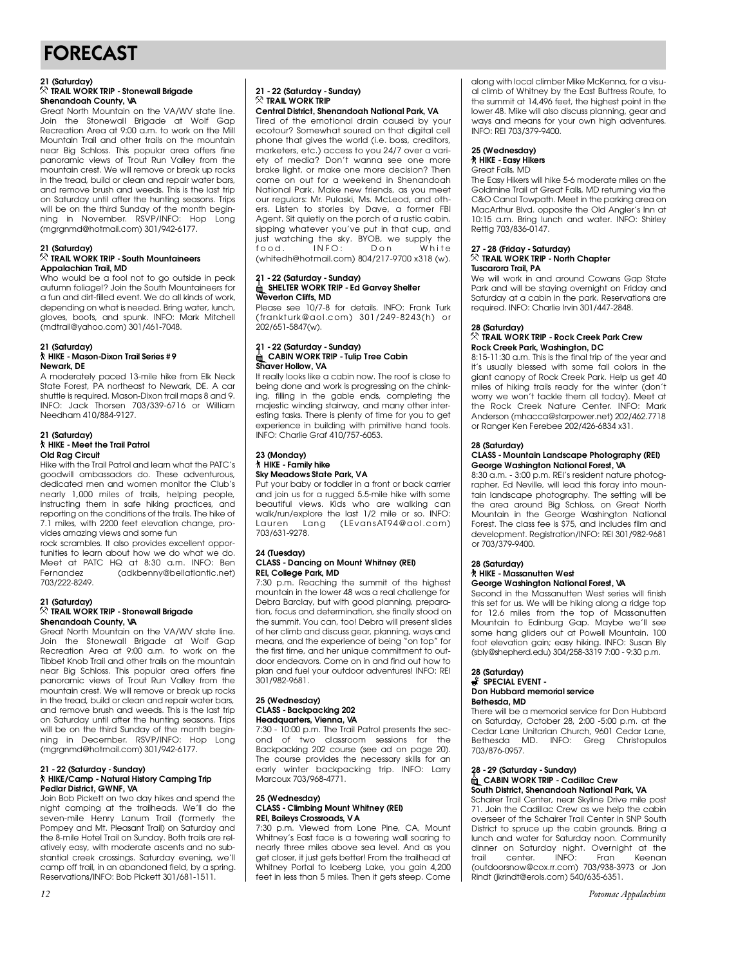## FORECAST

#### **21 (Saturday) Shenandoah County, VA**

**Shenandoan County, V**<br>Great North Mountain a Great North Mountain on the VA/WV state line. Recreation Area at  $9:00 \text{ }\alpha$ m, to work on the Mill Mountain Trail and other trails on the mountain near Big Schloss. This popular area offers fine panoramic views of Trout Run Valley from the mountain crest. We will remove or break up rocks in the tread, build or clean and repair water bars, and remove brush and weeds. This is the last trip on Saturday until after the hunting seasons. Trips will be on the third Sunday of the month beginning in November. RSVP/INFO: Hop Long ning in November. Reviging the nop Long.<br>Imaranmal@botmail.com\301/049.6177  $(mg, g, m, \alpha$  and mail.com/y 301/942-6177.

### **21 (Saturday) Appalachian Trail, MD**

Who would be a fool not to go outside in peak autumn foliage!? Join the South Mountaineers for a fun and dirt-filled event. We do all kinds of work, depending on what is needed. Bring water, lunch, gloves, boots, and spunk. INFO: Mark Mitchell gioves, boots, and spunk. Informally Mitchell<br>(mdtrail@vaboo.com) 301/461-7048  $(mamame)$ ahoo.com) 301/461-7048.

#### **21 (Saturday) Newark** DE

A moderately paced 13-mile hike from Elk Neck State Forest, PA northeast to Newark, DE. A car shuttle is required. Mason-Dixon trail maps 8 and 9. INFO: Jack Thorsen 703/339-6716 or William INFO: Jack Thorsen 733/337-5716 or William 1.000 and 1.10,000 1.127.

#### **21 (Saturday) Old Raa Circuit**

Hike with the Trail Patrol and learn what the PATC's goodwill ambassadors do. These adventurous, dedicated men and women monitor the Club's nearly 1,000 miles of trails, helping people, instructing them in safe hiking practices, and reporting on the conditions of the trails. The hike of 7.1 miles, with 2200 feet elevation change, provides amazina views and some fun

rock scrambles. It also provides excellent opportunities to learn about how we do what we do. Meet at PATC HQ at 8:30 a.m. INFO: Ben Fernandez (adkbenny@bellatlantic.net) F emandez (adkbenn) e bellatlantic.net)<br>703/999-89/10  $703/2226$ 

#### **21 (Saturday) Shenandoah County, VA**

Great North Mountain on the VA/WV state line. Join the Stonewall Brigade at Wolf Gap Term the Stonewall Brigade at The Stop Tibbet Knob Trail and other trails on the mountain near Big Schloss. This popular area offers fine panoramic views of Trout Run Valley from the panoramic views when will remove or break up rocks in the tread, build or clean and repair water bars. and remove brush and weeds. This is the last trip on Saturday until after the hunting seasons. Trips will be on the third Sunday of the month beginning in December. RSVP/INFO: Hop Long ning in Becember. Revision reception in the Long.  $(mg, g, m, \alpha$  and mail.com  $g, g, m$ 

#### **21 - 22 (Saturday - Sunday)** Pedlar District, GWNF, VA

Join Bob Pickett on two day hikes and spend the night camping at the trailheads. We'll do the seven-mile Henry Lanum Trail (formerly the Pompey and Mt. Pleasant Trail) on Saturday and the 8-mile Hotel Trail on Sunday. Both trails are relatively easy, with moderate ascents and no subamery easy, with moderate ascents and no sub-<br>stantial crook crossings - Saturday ovening - wo'll stantial creek crossings. Saturday evening, we'll<br>camp off trail in an abandonod field by a spring Reservations/INFO: Bob Pickett 301/681-1511. Reservations/INFO: Bob Pickett 301/681-1511.

## **21 - 22 (Saturday - Sunday)**

**Central District, Shenandoah National Park, VA** Tired of the emotional drain caused by your ecotour? Somewhat soured on that diaital cell phone that gives the world (i.e. boss, creditors, marketers, etc.) access to you 24/7 over a variety of media? Don't wanna see one more brake light, or make one more decision? Then come on out for a weekend in Shenandoah National Park. Make new friends, as you meet our regulars: Mr. Pulaski, Ms. McLeod, and others. Listen to stories by Dave, a former FBI Agent. Sit quietly on the porch of a rustic cabin, sipping whatever you've put in that cup, and sipping midition you've put in that cup, and just watching the sky. BYOB, we supply the f o o d . I N F O : D o n W h i t e  $(mm$  can enormal woon  $j$  so  $n \in \mathbb{N}$   $\rightarrow$   $n$  so  $n \in \mathbb{N}$ .

#### **21 - 22 (Saturday - Sunday) Weverton Cliffs, MD**

Please see 10/7-8 for details. INFO: Frank Turk (frankturk@aol.com) 301/249-8243(h) or  $\frac{1}{200}$  / fram kind above  $\frac{1}{200}$  ,  $\frac{1}{24}$  ,  $\frac{1}{200}$  ,  $\frac{1}{24}$  ,  $\frac{1}{200}$  ,  $\frac{1}{24}$  ,  $\frac{1}{24}$  ,  $\frac{1}{24}$  ,  $\frac{1}{24}$  ,  $\frac{1}{24}$  ,  $\frac{1}{24}$  ,  $\frac{1}{24}$  ,  $\frac{1}{24}$  ,  $\frac{1}{24}$  ,  $\frac{1}{$ 202/651-5847(w).

#### **21 - 22 (Saturday - Sunday) Shaver Hollow, VA**

It really looks like a cabin now. The roof is close to being done and work is progressing on the chinking, filling in the gable ends, completing the majestic winding stairway, and many other interesting tasks. There is plenty of time for you to get experience in building with primitive hand tools. experience in ballaring with primitive hand tools.<br>INEO: Charlie Craf 410/757 6053  $\overline{a}$  in the Grafing Graf  $\overline{a}$  110/757-6055.

#### **23 (Monday) Sky Meadows State Park, VA**

Put your baby or toddler in a front or back carrier and join us for a rugged 5.5-mile hike with some and joint us for a rugged some that we have a run of the walking can<br>beautiful views. Kids who are walking can walkylanychers the last 1/2 mile or so. Info:<br>Lauren Lang (LEvans AT04@aoLeom) Lauren Lang (LEvansAT94@aol.com)<br>703/631-9278.  $703/881/227$ 

#### **24 (Tuesday) REI, College Park, MD**

7:30 p.m. Reaching the summit of the highest mountain in the lower 48 was a real challenge for Debra Barclay, but with good planning, preparation, focus and determination, she finally stood on the summit. You can, too! Debra will present slides of her climb and discuss gear, planning, ways and means, and the experience of being "on top" for the first time, and her unique commitment to outdoor endeavors. Come on in and find out how to plan and fuel your outdoor adventures! INFO: REI  $301/982 - 9681.$  $301/252/301.$ 

#### **25 (Wednesday) Headquarters, Vienna, VA**

7:30 - 10:00 p.m. The Trail Patrol presents the second of two classroom sessions for the Backpacking 202 course (see ad on page 20). The course provides the necessary skills for an early winter backpacking trip. INFO: Larry ban, winter backpacking mp. Info: Lan,<br>Marcoux 703/068 4771  $M_{\odot}$  and  $M_{\odot}$  703/968-4771.

#### **25 (Wednesday) REI, Baileys Crossroads, VA**

7:30 p.m. Viewed from Lone Pine, CA, Mount The plant there were extremented from the pine nearly three miles above sea level. And as you nearly three milles above sea level. A that as you<br>aat closar it just aats battarl From the trailboad at get closer, it just gets better! From the trailhead at whitney Portal to Tooborg Lake, you gain 4,200<br>foot in loss than 5 miles. Then it acts stoop. Come feet in less than 5 miles. Then it gets steep. Come

along with local climber Mike McKenna, for a visu-<br>al climb of Whitney by the East Buttress Route, to the summit at 14,496 feet, the highest point in the lower 48. Mike will also discuss planning, gear and lower for this will also discuss planning, goal and ways and means for your own high adventures.<br>INEO: DEI 703/370 0400  $\sum_{i=1}^{n} \frac{1}{i} \sum_{i=1}^{n} \frac{1}{i} \sum_{i=1}^{n} \frac{1}{i} \sum_{i=1}^{n} \frac{1}{i} \sum_{i=1}^{n} \frac{1}{i} \sum_{i=1}^{n} \frac{1}{i} \sum_{i=1}^{n} \frac{1}{i} \sum_{i=1}^{n} \frac{1}{i} \sum_{i=1}^{n} \frac{1}{i} \sum_{i=1}^{n} \frac{1}{i} \sum_{i=1}^{n} \frac{1}{i} \sum_{i=1}^{n} \frac{1}{i} \sum_{i=1}^{n} \frac{1}{i$ 

## **25 (Wednesday)**

**Great Falls**, MD

The Easy Hikers will hike 5-6 moderate miles on the Goldmine Trail at Great Falls, MD returning via the C&O Canal Towpath. Meet in the parking area on MacArthur Blvd. opposite the Old Angler's Inn at 10:15 a.m. Bring lunch and water. INFO: Shirley 15:15 amin' Bring Tanon and water. In the Shame,  $R_{\text{max}}$  703/836-0147.

#### **27 - 28 (Friday - Saturday) Tuscarora Trail PA**

We will work in and around Cowans Gap State Park and will be staying overnight on Friday and Saturday at a cabin in the park. Reservations are saturaay at a cabin in the park. Reservations are required. In the charlie Irvin 301/447-2848.

#### **28 (Saturday) Rock Creek Park, Washington, DC**

8:15-11:30 a.m. This is the final trip of the year and it's usually blessed with some fall colors in the giant canopy of Rock Creek Park. Help us get 40 miles of hiking trails ready for the winter (don't worry we won't tackle them all today). Meet at the Rock Creek Nature Center. INFO: Mark the Rock Creek Nature Center. In the Marking or Ranger Ken Ferebee 202/426-6834 x31. or Ranger Rann drobbed 202/426-6884 x31.

#### **28 (Saturday) George Washington National Forest, VA**

8:30 a.m. - 3:00 p.m. REI's resident nature photographer, Ed Neville, will lead this foray into mountain landscape photography. The setting will be the area around Big Schloss, on Great North Mountain in the George Washington National Forest. The class fee is \$75, and includes film and development. Registration/INFO: REI 301/982-9681 development. Registration, INFO: REI 301/982-9681<br>or 703/370-0400  $\frac{3}{2}$ 

#### **28 (Saturday) George Washington National Forest, VA**

Second in the Massanutten West series will finish Second in the Massachuse in the Massachuset series will be hiking along a ridge top for 12.6 miles from the top of Massanutten Mountain to Edinburg Gap. Maybe we'll see some hang gliders out at Powell Mountain. 100 foot elevation gain; easy hiking. INFO: Susan Bly foot elevation gain; easy hiking. INFO: Susan Bly  $(65)$  calculational 304/258-3317-7:00 - 7:00 p.m.m.

#### **28 (Saturday) Don Hubbard memorial service Bethesda, MD**

There will be a memorial service for Don Hubbard on Saturday, October 28, 2:00 -5:00 p.m. at the Cedar Lane Unitarian Church, 9601 Cedar Lane, Bethesda MD. INFO: Greg Christopulos 703/876-0957. 703/876-0957.

#### **28 - 29 (Saturday - Sunday) South District, Shenandoah National Park, VA**

**South District, Shortandoan National Park, VA**<br>Sobairer Trail Center, near Skyline Drive mile Schairer Trail Center, near Skyline Drive mile post overseer of the Schairer Trail Center in SNP South District to spruce up the cabin grounds. Bring a lunch and water for Saturday noon. Community lunch and water for saturaty noon. Schimanny dinner on Saturday night. Overnight at the trail center. Interest results in the frame in the frame in the frame in the stream. (outdoorsnow@cox...rr.com) 7.007700 0770 or Jon.<br>Dindt (ilxindt@orols.com) 5407635.6351 Rindt (jkrindt@erols.com) 540/635-6351.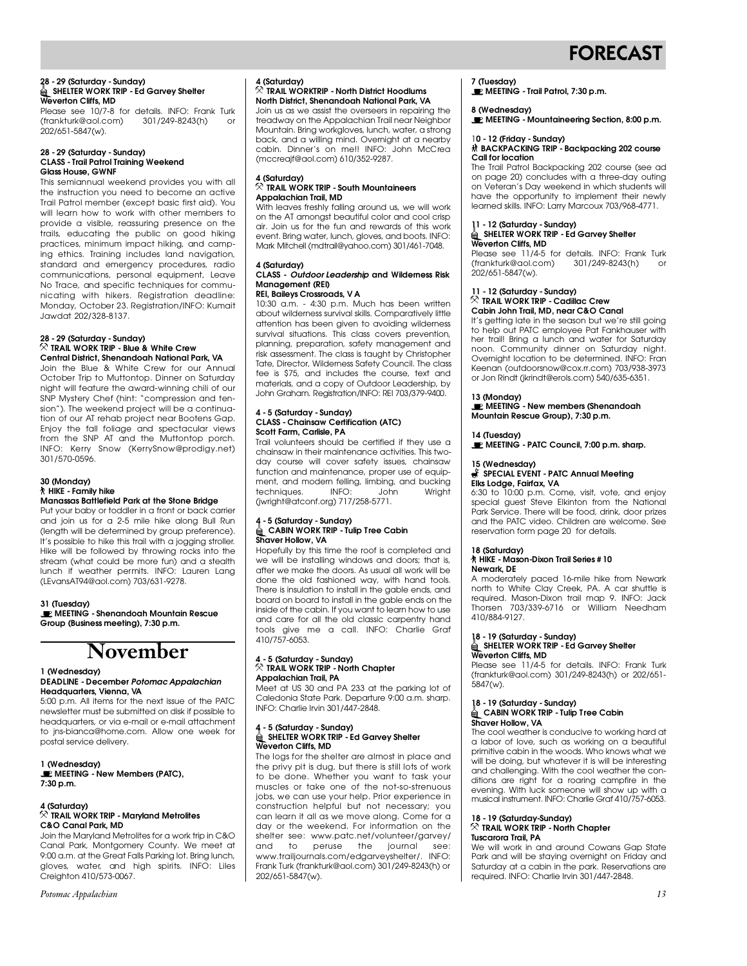## **FORECAST**

#### **28 - 29 (Saturday - Sunday) Weverton Cliffs, MD**

Please see 10/7-8 for details. INFO: Frank Turk rease see 10.<br>
(frankturk@aol.com) 301/249-8243(h) or  $202/651 - 5847$  (w). 202/651-5847(w).

#### **28 - 29 (Saturday - Sunday) Glass House, GWNF**

This semiannual weekend provides you with all the instruction you need to become an active Trail Patrol member (except basic first aid). You will learn how to work with other members to provide a visible, reassuring presence on the trails, educating the public on good hiking practices, minimum impact hiking, and camping ethics. Training includes land navigation, ing ethics. Training includes land navigation, s analis and chicigone, procedures, radio No Trace, and specific techniques for communicating with hikers. Registration deadline: Monday, October 23. Registration/INFO: Kumait Monday, October 23. Registration/INFO: Kumait Jawdat 202/328-8137.

#### **28 - 29 (Saturday - Sunday) Central District, Shenandoah National Park, VA**

Join the Blue & White Crew for our Annual October Trip to Muttontop. Dinner on Saturday night will feature the award-winning chili of our SNP Mystery Chef (hint: "compression and tension"). The weekend project will be a continuation of our AT rehab project near Bootens Gap. Enjoy the fall foliage and spectacular views from the SNP AT and the Muttontop porch. INFO: Kerry Snow (KerrySnow@prodigy.net)  $301/570-0596$ . 3 0 1 / 5 7 0 - 0 5 9 6 .

#### **30 (Monday) Manassas Battlefield Park at the Stone Bridge**

Put your baby or toddler in a front or back carrier and join us for a 2-5 mile hike along Bull Run (length will be determined by group preference). It's possible to hike this trail with a jogging stroller. Hike will be followed by throwing rocks into the stream (what could be more fun) and a stealth lunch if weather permits. INFO: Lauren Lang lunch in Weather permits. In the Laurent Lang (LEvansAT94@aol.com) 703/631-9278.

**31 (Tuesday) MEETING - Shenandoah Mountain Rescue Group (Business meeting), 7:30 p.m.**

## **November**

#### **1 (Wednesday) Headquarters**, Vienna, VA

5:00 p.m. All items for the next issue of the PATC newsletter must be submitted on disk if possible to headquarters, or via e-mail or e-mail attachment to jns-bianca@home.com. Allow one week for postal service delivery. postal service delivery.

**1 (Wednesday)**<br> **1** MEETING - New Members (PATC), **7:30 p.m.**

#### **4 (Saturday) C&O Canal Park, MD**

Join the Maryland Metrolites for a work trip in C&O Canal Park, Montgomery County. We meet at 9:00 a.m. at the Great Falls Parking lot. Bring lunch, gloves, water, and high spirits. INFO: Liles gloves, water, and high spirits. Info: Liles<br>Croighton 110/573 0067 Creighton 410/573-0067.

*Potomac Appalachian*

### **4 (Saturday) North District, Shenandoah National Park, VA**

**Noin us as we assist the overseers in repairing the** I all the assistance in the contract in repairing the treatment of the original treatment. Mountain. Bring workgloves, lunch, water, a strong mournain. Bring workgloves, lunch, water, a shong<br>back, and a willing mind. Overnight at a nearby back, and a willing mind. Overnight at a nearby (mccreaif@aol.com) 610/352-9287.  $(m\texttt{S3} \cup \texttt{S4} \cup \texttt{S5} \cup \texttt{S6} \cup \texttt{S7} \cup \texttt{S7} \cup \texttt{S8} \cup \texttt{S8} \cup \texttt{S7} \cup \texttt{S8} \cup \texttt{S8} \cup \texttt{S8} \cup \texttt{S8} \cup \texttt{S8} \cup \texttt{S8} \cup \texttt{S8} \cup \texttt{S8} \cup \texttt{S8} \cup \texttt{S8} \cup \texttt{S8} \cup \texttt{S8} \cup \texttt{S8} \cup \texttt{S8} \cup \texttt{S8} \cup \texttt$ 

#### **4 (Saturday) Appalachian Trail, MD**

**Appalachian Trail, MD** With leaves freshly falling around us, we will work air. Join us for the fun and rewards of this work event. Bring water, lunch, gloves, and boots. INFO: Mark Mitchell (mdtrail@vahoo.com) 301/461-7048.  $M_{\rm H}$  Mark Mitchell (matrice  $\mu$  and obecamp 301/461-7048.

#### **4 (Saturday) CLASS -** *Outdoor Leadership* **and Wilderness Risk Management (REI)**

**REI, Baileys Crossroads, V A** 10:30 am. - 4:30 p.m. Much has been willen.<br>About wildomore survival skills. Comparativaly little attention has been given to avoiding wilderness survival situations. This class covers prevention, planning, preparation, safety management and risk assessment. The class is taught by Christopher Tate, Director, Wilderness Safety Council. The class fee is \$75, and includes the course, text and materials, and a copy of Outdoor Leadership, by materials, and a copy of Catacor Leadership, by John Graham. Registration/INFO: REI 703/379-9400.

#### **4 - 5 (Saturday - Sunday) Scott Farm, Carlisle, PA**

Trail volunteers should be certified if they use a chainsaw in their maintenance activities. This twoday course will cover safety issues, chainsaw function and maintenance, proper use of equipfunction and maintenance, proper use of equipment, and modern felling, limbing, and bucking techniques. Information Centre Milginia<br>(iwright@ateonf.org) 717/958.5771  $(m, g, n \in \mathbb{Z} \cup \mathbb{Z} \cup \{0\}, m \in \mathbb{Z} \cup \{0\}, m \in \mathbb{Z} \cup \{0\} \cup \{0\}$ 

#### **4 - 5 (Saturday - Sunday)** Shaver Hollow, VA

Hopefully by this time the roof is completed and we will be installing windows and doors; that is, after we make the doors. As usual all work will be done the old fashioned way, with hand tools. There is insulation to install in the gable ends, and board on board to install in the gable ends on the inside of the cabin. If you want to learn how to use and care for all the old classic carpentry hand and care for all the old classic carpentry hand tools give me a call. Info: charlie Grafi<br>410/757 6053 410/757-6053.

#### **4 - 5 (Saturday - Sunday) Appalachian Trail, PA**

Meet at US 30 and PA 233 at the parking lot of Caledonia State Park. Departure 9:00 a.m. sharp. Caledonia State Park. Departure 7:00 a.m. sharp.<br>INEO: Charlie India 301 /447 2848  $\overline{a}$  is characterized in  $\overline{a}$  and  $\overline{a}$ 

#### **4 - 5 (Saturday - Sunday) Weverton Cliffs, MD**

The logs for the shelter are almost in place and the privy pit is dug, but there is still lots of work to be done. Whether you want to task your muscles or take one of the not-so-strenuous jobs, we can use your help. Prior experience in construction helpful but not necessary; you can learn it all as we move along. Come for a day or the weekend. For information on the day or the weekend. For information on the shelter see: www.patc.net/volunteer/garvey/ and to peruse the journal see:<br>www.trailjournals.com/edgarveyshelter/. INFO: w w w w angled material of the garve yerloner, I will be<br>Erank Turk (frankturk@aal.com) 301/940 8943(b) or Frank Turk (frankturk@aol.com) 301/249-8243(h) or 202/651-5847(w).

### **7 (Tuesday)**

**MEETING - Trail Patrol, 7:30 p.m.**

**8 (Wednesday) MEETING - Mountaineering Section, 8:00 p.m.**

## **10 - 12 ANGLE - 12 ANGLE 12 ANGLE 12 ANGLE 12 ANGLE 12 ANGLE 12 ANGLE 12 ANGLE 12 ANGLE 12 ANGLE 12 ANGLE 12 A**<br>Palitics location

Call for location<br>The Trail Patrol Backpacking 202 course (see ad on page 20) concludes with a three-day outing on Veteran's Day weekend in which students will have the opportunity to implement their newly have the opportunity to implement their newly learned skills. INFO: Larry Marcoux 703/968-4771.

## <sub>11</sub> · 12 DENCEMBR/ **TRIP - Ed Garvey Shelter**<br>Meverton Cliffs MD

**Weverton Cliffs, MD**<br>Please see 11/4-5 for details. INFO: Frank Turk (frankturk@aol.com) 301/249-8243(h) or  $(202/651 - 5847$  (M) 202/651-5847(w).

#### **11 - 12 (Saturday - Sunday) Cabin John Trail, MD, near C&O Canal**

It's getting late in the season but we're still going to help out PATC employee Pat Fankhauser with her trail! Bring a lunch and water for Saturday her trail. Community dinner on Saturday night.<br>Noon. Community dinner on Saturday night.<br>Overnight location to be determined INEO: Eran Keenan (outdoorsnow@cox.rr.com) 703/938-3973 noonan (outdoorsnow electrinicem) 708/9889773<br>or Jon Rindt (jkrindt@erols.com) 540/635-6351.

### **13 (Monday) MEETING - New members (Shenandoah Mountain Rescue Group), 7:30 p.m.**

**14 (TUBECAY) MEETING - PATC Council, 7:00 p.m. sharp.**

#### 15 (Wednesday)<br>*A* SPECIAL EVENT - PATC Annual Meeting **Elks Lodge, Fairfax, VA**

6:30 to 10:00 p.m. Come, visit, vote, and enjoy special quest Steve Elkinton from the National Park Service. There will be food, drink, door prizes and the PATC video. Children are welcome. See and the PATC video. Children are welcome. See reservation form page 20 for details.

#### **18 (Saturday) Newark, DE**

A moderately paced 16-mile hike from Newark north to White Clay Creek, PA. A car shuttle is required. Mason-Dixon trail map 9. INFO: Jack required. Mason-Dixon-Mail map 9. Interests.<br>Thorsen 703/339-6716 or William Needham<br>410/884-0127  $10,000,7127.$ 

## **18 - 19 Explorer Street Bank**<br>Moverton Cliffs MD<br>Woverton Cliffs MD

Please see 11/4-5 for details. INFO: Frank Turk Please see 11/4-5 for details. INFO: Frank Turk (frankturk@aol.com) 301/249-8243(h) or 202/651-  $\cdots$ 

## **18 - 19 (Saturday - Sunday) CABIN WORK TRIP - Tulip Tree Cabin**

The cool weather is conducive to working hard at a labor of love, such as working on a beautiful primitive cabin in the woods. Who knows what we will be doing, but whatever it is will be interesting will and challenging. With the cool weather the con-<br>alitions are right for a roginal camping in the evening. With luck someone will show up with a evening. With luck someone will show up with a musical instrument. INFO: Charlie Graf 410/757-6053.

#### **18 - 19 (Saturday-Sunday) Tuscarora Trail PA**

We will work in and around Cowans Gap State Park and will be staying overnight on Friday and Saturday at a cabin in the park. Reservations are Saturday at a cabin in the park. Reservations are required. INFO: Charlie Irvin 301/447-2848.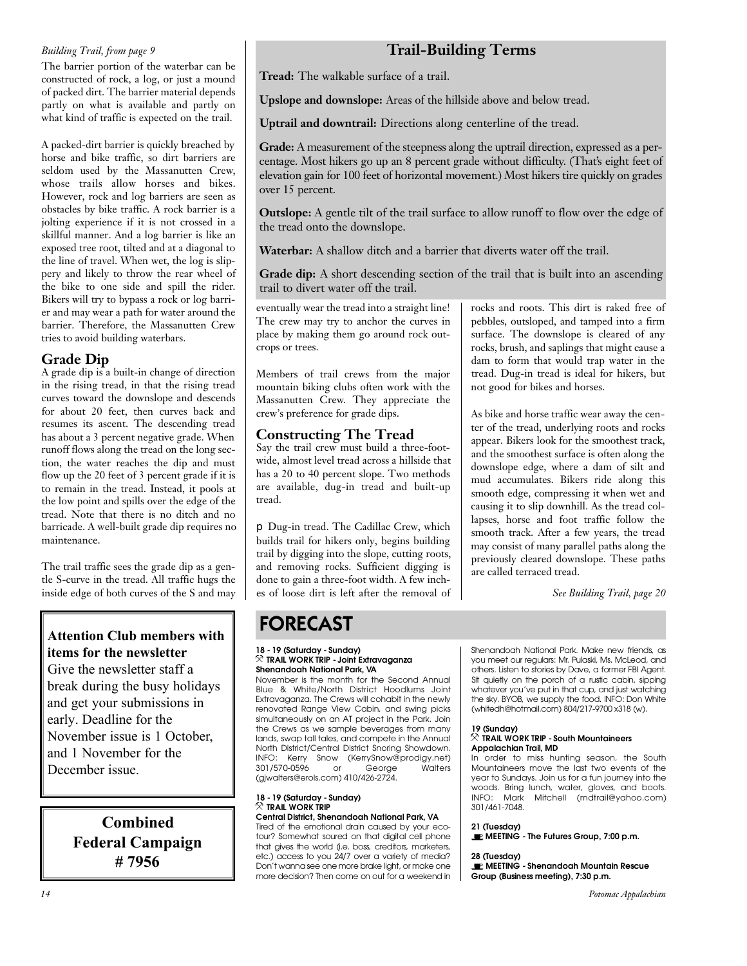#### *Building Trail, from page 9*

The barrier portion of the waterbar can be constructed of rock, a log, or just a mound of packed dirt. The barrier material depends partly on what is available and partly on what kind of traffic is expected on the trail.

A packed-dirt barrier is quickly breached by horse and bike traffic, so dirt barriers are seldom used by the Massanutten Crew, whose trails allow horses and bikes. However, rock and log barriers are seen as obstacles by bike traffic. A rock barrier is a jolting experience if it is not crossed in a skillful manner. And a log barrier is like an exposed tree root, tilted and at a diagonal to the line of travel. When wet, the log is slippery and likely to throw the rear wheel of the bike to one side and spill the rider. Bikers will try to bypass a rock or log barrier and may wear a path for water around the barrier. Therefore, the Massanutten Crew tries to avoid building waterbars.

#### **Grade Dip**

A grade dip is a built-in change of direction in the rising tread, in that the rising tread curves toward the downslope and descends for about 20 feet, then curves back and resumes its ascent. The descending tread has about a 3 percent negative grade. When runoff flows along the tread on the long section, the water reaches the dip and must flow up the 20 feet of 3 percent grade if it is to remain in the tread. Instead, it pools at the low point and spills over the edge of the tread. Note that there is no ditch and no barricade. A well-built grade dip requires no maintenance.

The trail traffic sees the grade dip as a gentle S-curve in the tread. All traffic hugs the inside edge of both curves of the S and may

### **Attention Club members with items for the newsletter**

Give the newsletter staff a break during the busy holidays and get your submissions in early. Deadline for the November issue is 1 October, and 1 November for the December issue.

> **Combined Federal Campaign # 7956**

### **Trail-Building Terms**

**Tread:** The walkable surface of a trail.

**Upslope and downslope:** Areas of the hillside above and below tread.

**Uptrail and downtrail:** Directions along centerline of the tread.

Grade: A measurement of the steepness along the uptrail direction, expressed as a percentage. Most hikers go up an 8 percent grade without difficulty. (That's eight feet of elevation gain for 100 feet of horizontal movement.) Most hikers tire quickly on grades over 15 percent.

**Outslope:** A gentle tilt of the trail surface to allow runoff to flow over the edge of the tread onto the downslope.

**Waterbar:** A shallow ditch and a barrier that diverts water off the trail.

**Grade dip:** A short descending section of the trail that is built into an ascending trail to divert water off the trail.

eventually wear the tread into a straight line! The crew may try to anchor the curves in place by making them go around rock outcrops or trees.

Members of trail crews from the major mountain biking clubs often work with the Massanutten Crew. They appreciate the crew's preference for grade dips.

#### **Constructing The Tread**

Say the trail crew must build a three-footwide, almost level tread across a hillside that has a 20 to 40 percent slope. Two methods are available, dug-in tread and built-up tread.

❐ Dug-in tread. The Cadillac Crew, which builds trail for hikers only, begins building trail by digging into the slope, cutting roots, and removing rocks. Sufficient digging is done to gain a three-foot width. A few inches of loose dirt is left after the removal of rocks and roots. This dirt is raked free of pebbles, outsloped, and tamped into a firm surface. The downslope is cleared of any rocks, brush, and saplings that might cause a dam to form that would trap water in the tread. Dug-in tread is ideal for hikers, but not good for bikes and horses.

As bike and horse traffic wear away the center of the tread, underlying roots and rocks appear. Bikers look for the smoothest track, and the smoothest surface is often along the downslope edge, where a dam of silt and mud accumulates. Bikers ride along this smooth edge, compressing it when wet and causing it to slip downhill. As the tread collapses, horse and foot traffic follow the smooth track. After a few years, the tread may consist of many parallel paths along the previously cleared downslope. These paths are called terraced tread.

*See Building Trail, page 20*

## FORECAST

#### **18 - 19 (Saturday - Sunday) Shenandoah National Park, VA**

November is the month for the Second Annual Blue & White/North District Hoodlums Joint Extravaganza. The Crews will cohabit in the newly renovated Range View Cabin, and swing picks renovated range view Cabin, and crining picket the Crews as we sample beverages from many lands, swap tall tales, and compete in the Annual North District/Central District Snoring Showdown. North District, Central District Showing Showdown.<br>INEO: Korry Spow (KorrySpow@prodigy.pot) INFO: Kerry Snow (KerrySnow@prodigy.nor)<br>3017570.0506 or Coorde Walters 301/570-0676 or George Manute  $(g_j$ malters erols.com)  $f_j$  and  $f_j$  and  $f_j$ 

## **18 - 19 (Saturday - Sunday)**

**Central District, Shenandoah National Park, VA** Tired of the emotional drain caused by your ecotour? Somewhat soured on that digital cell phone that gives the world (i.e. boss, creditors, marketers, etc.) access to you 24/7 over a variety of media? Don't wanna see one more brake light, or make one Don't wanna see one more brake light, or make one more decision? Then come on our for a mediterial.

Shenandoah National Park. Make new friends, as<br>you meet our regulars: Mr. Pulaski, Ms. McLeod, and others. Listen to stories by Dave, a former FBI Agent. Sit quietly on the porch of a rustic cabin, sipping whatever you've put in that cup, and just watching the sky. BYOB, we supply the food. INFO: Don White the sky. By OB, we supply the food. Info: Don White<br>Whitedb@betmeil.com &04/917.0700.x318.6.A  $(m \mod 1011)$  and  $(m \mod 1011)$  and  $(m \mod 1011)$  and  $(m \mod 1011)$ .

#### 19 (Sundav)

## **19 (Sunday) TRAIL WORK TRIP - South Mountaineers**

**Appalachian Trail, MD**<br>In order to miss hunting season, the South Mountaineers move the last two events of the year to Sundays. Join us for a fun journey into the woods. Bring lunch, water, gloves, and boots. woods. Bring lunch, water, gloves, und boots.<br>INEO: Mark Mitchell (matrail@vaboo.com) INFO: Mark Mitchell (markangyahoo.com)<br>301/441/7048 301/461-7048.

**21 (TUESDAY) MEETING - The Futures Group, 7:00 p.m.**

**28 (Tuesday) MEETING - Shenandoah Mountain Rescue Group (Business meeting), 7:30 p.m.**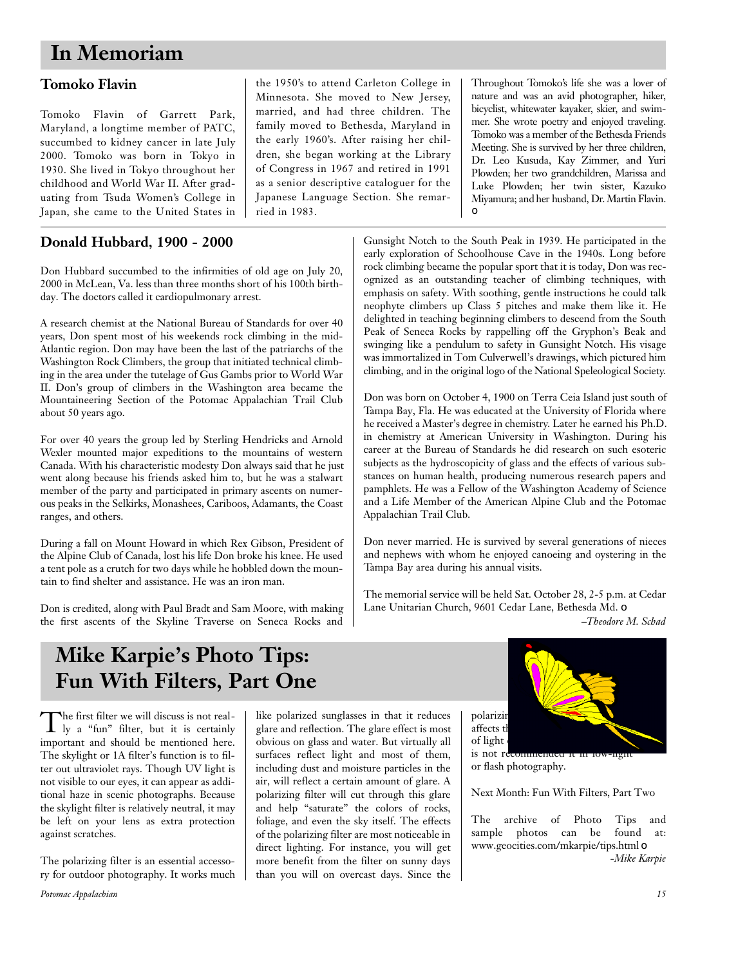## **In Memoriam**

### **Tomoko Flavin**

Tomoko Flavin of Garrett Park, Maryland, a longtime member of PATC, succumbed to kidney cancer in late July 2000. Tomoko was born in Tokyo in 1930. She lived in Tokyo throughout her childhood and World War II. After graduating from Tsuda Women's College in Japan, she came to the United States in

### **Donald Hubbard, 1900 - 2000**

Don Hubbard succumbed to the infirmities of old age on July 20, 2000 in McLean, Va. less than three months short of his 100th birthday. The doctors called it cardiopulmonary arrest.

A research chemist at the National Bureau of Standards for over 40 years, Don spent most of his weekends rock climbing in the mid-Atlantic region. Don may have been the last of the patriarchs of the Washington Rock Climbers, the group that initiated technical climbing in the area under the tutelage of Gus Gambs prior to World War II. Don's group of climbers in the Washington area became the Mountaineering Section of the Potomac Appalachian Trail Club about 50 years ago.

For over 40 years the group led by Sterling Hendricks and Arnold Wexler mounted major expeditions to the mountains of western Canada. With his characteristic modesty Don always said that he just went along because his friends asked him to, but he was a stalwart member of the party and participated in primary ascents on numerous peaks in the Selkirks, Monashees, Cariboos, Adamants, the Coast ranges, and others.

During a fall on Mount Howard in which Rex Gibson, President of the Alpine Club of Canada, lost his life Don broke his knee. He used a tent pole as a crutch for two days while he hobbled down the mountain to find shelter and assistance. He was an iron man.

Don is credited, along with Paul Bradt and Sam Moore, with making the first ascents of the Skyline Traverse on Seneca Rocks and

the 1950's to attend Carleton College in Minnesota. She moved to New Jersey, married, and had three children. The family moved to Bethesda, Maryland in the early 1960's. After raising her children, she began working at the Library of Congress in 1967 and retired in 1991 as a senior descriptive cataloguer for the Japanese Language Section. She remarried in 1983.

Throughout Tomoko's life she was a lover of nature and was an avid photographer, hiker, bicyclist, whitewater kayaker, skier, and swimmer. She wrote poetry and enjoyed traveling. Tomoko was a member of the Bethesda Friends Meeting. She is survived by her three children, Dr. Leo Kusuda, Kay Zimmer, and Yuri Plowden; her two grandchildren, Marissa and Luke Plowden; her twin sister, Kazuko Miyamura; and her husband, Dr. Martin Flavin. ❏

Gunsight Notch to the South Peak in 1939. He participated in the early exploration of Schoolhouse Cave in the 1940s. Long before rock climbing became the popular sport that it is today, Don was recognized as an outstanding teacher of climbing techniques, with emphasis on safety. With soothing, gentle instructions he could talk neophyte climbers up Class 5 pitches and make them like it. He delighted in teaching beginning climbers to descend from the South Peak of Seneca Rocks by rappelling off the Gryphon's Beak and swinging like a pendulum to safety in Gunsight Notch. His visage was immortalized in Tom Culverwell's drawings, which pictured him climbing, and in the original logo of the National Speleological Society.

Don was born on October 4, 1900 on Terra Ceia Island just south of Tampa Bay, Fla. He was educated at the University of Florida where he received a Master's degree in chemistry. Later he earned his Ph.D. in chemistry at American University in Washington. During his career at the Bureau of Standards he did research on such esoteric subjects as the hydroscopicity of glass and the effects of various substances on human health, producing numerous research papers and pamphlets. He was a Fellow of the Washington Academy of Science and a Life Member of the American Alpine Club and the Potomac Appalachian Trail Club.

Don never married. He is survived by several generations of nieces and nephews with whom he enjoyed canoeing and oystering in the Tampa Bay area during his annual visits.

The memorial service will be held Sat. October 28, 2-5 p.m. at Cedar Lane Unitarian Church, 9601 Cedar Lane, Bethesda Md. ❏

*–Theodore M. Schad*

## **Mike Karpie's Photo Tips: Fun With Filters, Part One**

The first filter we will discuss is not real-<br>ly a "fun" filter, but it is certainly he first filter we will discuss is not realimportant and should be mentioned here. The skylight or 1A filter's function is to filter out ultraviolet rays. Though UV light is not visible to our eyes, it can appear as additional haze in scenic photographs. Because the skylight filter is relatively neutral, it may be left on your lens as extra protection against scratches.

The polarizing filter is an essential accessory for outdoor photography. It works much like polarized sunglasses in that it reduces glare and reflection. The glare effect is most obvious on glass and water. But virtually all surfaces reflect light and most of them, including dust and moisture particles in the air, will reflect a certain amount of glare. A polarizing filter will cut through this glare and help "saturate" the colors of rocks, foliage, and even the sky itself. The effects of the polarizing filter are most noticeable in direct lighting. For instance, you will get more benefit from the filter on sunny days than you will on overcast days. Since the





or flash photography.

Next Month: Fun With Filters, Part Two

The archive of Photo Tips and sample photos can be found at: www.geocities.com/mkarpie/tips.html ❏ *-Mike Karpie*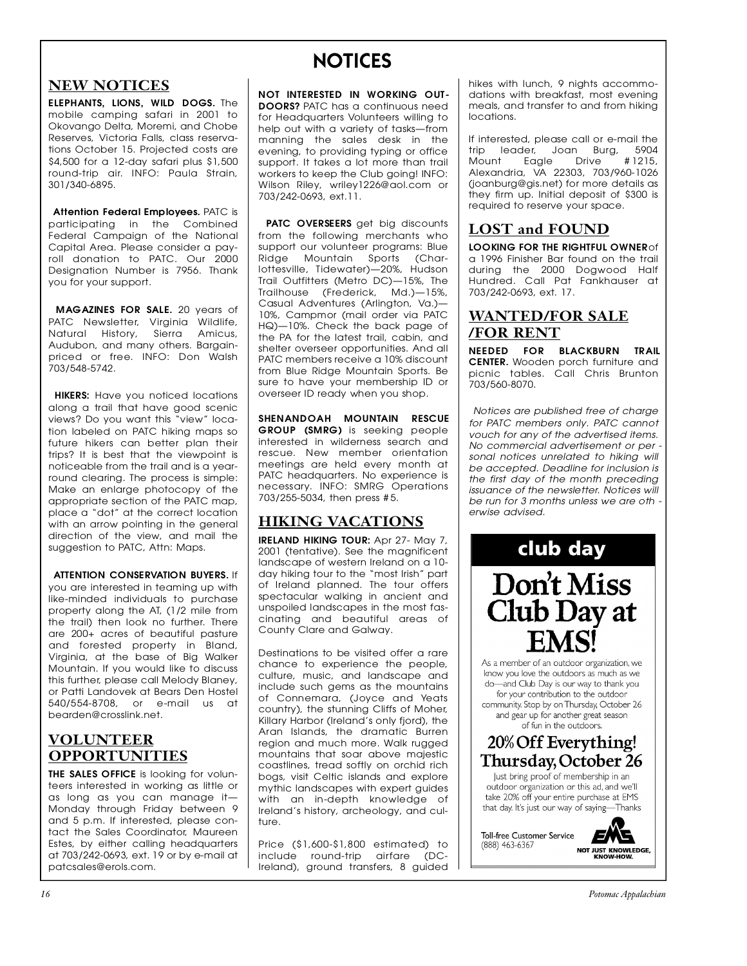### **NEW NOTICES**

**ELEPHANTS, LIONS, WILD DOGS.** The mobile camping safari in 2001 to Okovango Delta, Moremi, and Chobe Reserves, Victoria Falls, class reservations October 15. Projected costs are  $$4,500$  for a 12-day safari plus  $$1,500$ round-trip air. INFO: Paula Strain, 301/340-6895. 3 0 1 / 3 4 0 - 6 8 9 5 .

**Attention Federal Employees.** PATC is<br>participating in the Combined Federal Campaign of the National Capital Area. Please consider a payroll donation to PATC. Our 2000 Designation Number is 7956. Thank Designation Number is 7956. Thank you for your support.

**MAGAZINES FOR SALE.** 20 years of<br>PATC Newsletter, Virginia Wildlife, Natural History, Sierra Amicus, Audubon, and many others, Baraainpriced or free. INFO: Don Walsh  $703/548 - 5742.$ 7 0 3 / 5 4 8 - 5 7 4 2 .

**HIKERS:** Have you noticed locations<br>along a trail that have good scenic views? Do you want this "view" location labeled on PATC hiking maps so future hikers can better plan their trips? It is best that the viewpoint is noticeable from the trail and is a yearround clearing. The process is simple: Make an enlarge photocopy of the appropriate section of the PATC map, place a "dot" at the correct location with an arrow pointing in the general direction of the view, and mail the all behind the view, and mail the<br>suggestion to PATC Attn: Mans suggestion to PATC, Attn: Maps.

#### ATTENTION CONSERVATION BUYERS If

you are interested in teaming up with like-minded individuals to purchase property along the AT, (1/2 mile from the trail) then look no further. There are 200+ acres of beautiful pasture and forested property in Bland, Virginia, at the base of Big Walker Mountain. If you would like to discuss this further, please call Melody Blaney, or Patti Landovek at Bears Den Hostel 540/554-8708, or e-mail us at 540/564-8700, or e-mail as at<br>bearden@crosslink.net b e a rd e n @ c ro s s l i n k . n e t .

#### **VOLUNTEER OPPORTUNITIES**

**THE SALES OFFICE** is looking for volun-<br>teers interested in working as little or as long as you can manage it-Monday through Friday between 9 and 5 p.m. If interested, please contact the Sales Coordinator, Maureen Estes, by either calling headquarters at 703/242-0693, ext. 19 or by e-mail at  $\alpha$  703/242-0693, ext. 19 or by e-mail at  $p$  a researcs e croiorcomm

## NOTICES

**NOT INTERESTED IN WORKING OUT-**<br>**DOORS?** PATC has a continuous need for Headauarters Volunteers willing to help out with a variety of tasks-from manning the sales desk in the evening, to providing typing or office support. It takes a lot more than trail workers to keep the Club going! INFO: Wilson Riley, wriley1226@aol.com or wilson Riley, writey12268@aol.com or<br>703/242-0603 ext 11  $703/24203$ 

**PATC OVERSEERS** get big discounts from the following merchants who support our volunteer programs: Blue Ridge Mountain Sports (Char-Iottesville, Tidewater)-20%, Hudson Trail Outfitters (Metro DC)-15%, The Trailhouse (Frederick, Md.)-15%, Casual Adventures (Arlington, Va.)— 10%, Campmor (mail order via PATC HQ)-10%. Check the back page of the PA for the latest trail, cabin, and shelter overseer opportunities. And all PATC members receive a 10% discount from Blue Ridge Mountain Sports. Be sure to have your membership ID or overseer ID ready when you shop. overseer ID ready when you shop.

**SHENANDOAH MOUNTAIN RESCUE** interested in wilderness search and rescue. New member orientation meetings are held every month at PATC headquarters. No experience is necessary. INFO: SMRG Operations necessary. Informations operations  $703/255-5034$ , then press  $\#5$ .

### **HIKING VACATIONS**

**IRELAND HIKING TOUR:** Apr 27- May 7,<br>2001 (tentative). See the magnificent landscape of western Ireland on a 10day hiking tour to the "most Irish" part of Ireland planned. The tour offers spectacular walking in ancient and unspoiled landscapes in the most fascinating and beautiful areas of cinating and beautiful areas of<br>County Clare and Galway County Clare and Galway.

Destinations to be visited offer a rare<br>chance to experience the people, culture, music, and landscape and include such gems as the mountains of Connemara, (Joyce and Yeats country), the stunning Cliffs of Moher, Killary Harbor (Ireland's only fjord), the Aran Islands, the dramatic Burren region and much more. Walk rugged mountains that soar above majestic coastlines, tread softly on orchid rich boas, visit Celtic islands and explore mythic landscapes with expert guides with an in-depth knowledge of with an in-depth knowledge of<br>Ireland's history archeology, and cul-I reland's history, archeology, and cul- $\overline{\phantom{a}}$ 

Price (\$1,600-\$1,800 estimated) to<br>include round-trip airfare (DCinclude round-mp airfaic (DC-<br>Ireland) around-transfers 8 quided I reland), ground transfers, 8 guided

hikes with lunch, 9 nights accommodations with breakfast, most evening meals, and transfer to and from hiking meals, and handler to and from himing  $100$  c and  $100$ 

If interested, please call or e-mail the<br>trip leader, Joan Burg, 5904 Mount Eagle Drive #1215, Alexandria, VA 22303, 703/960-1026 (joanburg@gis.net) for more details as they firm up. Initial deposit of \$300 is they firm up. Initial deposit of \$300 is re qui red to receive your space.

#### **LOST and FOUND**

**LOOKING FOR THE RIGHTFUL OWNER** of 1996 Finisher Bar found on the trail during the 2000 Dogwood Half Hundred. Call Pat Fankhauser at 1131131031 - 031 - 131 - 131 Martiascor at<br>703/242-0603 ext 17  $703/2 + 0070$ , ext. 17.

### **WANTED/FOR SALE /FOR RENT**

**NEEDED FOR BLACKBURN TRAIL** picnic tables. Call Chris Brunton  $703/560 - 8070.$ 7 0 3 / 5 6 0 - 8 0 7 0 .

*Notices are published free of charge for PATC members only. PATC cannot* vouch for any of the advertised items. *No commercial advertisement or per*sonal notices unrelated to hiking will be accepted. Deadline for inclusion is the first day of the month preceding *issuance of the newsletter. Notices will* be run for 3 months unless we are oth *be run for 3 months unless we are oth erwise advised.*



for your contribution to the outdoor community. Stop by on Thursday, October 26 and gear up for another great season of fun in the outdoors.

### 20% Off Everything! Thursday, October 26

Just bring proof of membership in an outdoor organization or this ad, and we'll take 20% off your entire purchase at EMS that day. It's just our way of saying-Thanks

**Toll-free Customer Service**  $(888)$  463-6367

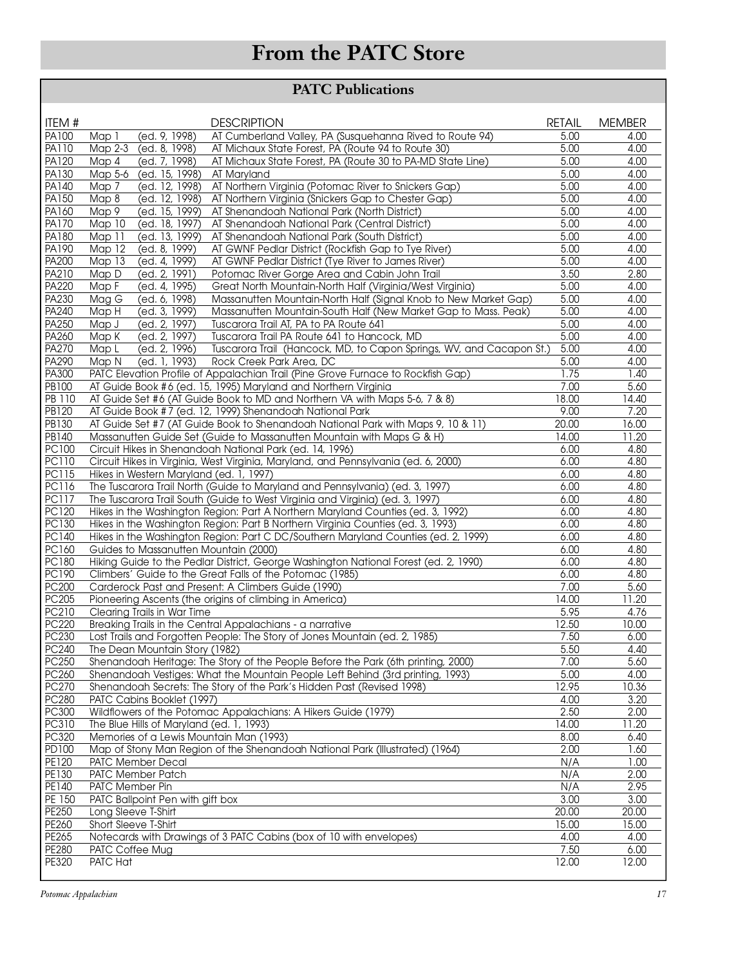## **From the PATC Store**

### **PATC Publications**

| ITEM #                | <b>DESCRIPTION</b>                                                                                                                        | <b>RETAIL</b> | <b>MEMBER</b> |
|-----------------------|-------------------------------------------------------------------------------------------------------------------------------------------|---------------|---------------|
| <b>PA100</b>          | AT Cumberland Valley, PA (Susquehanna Rived to Route 94)<br>(ed. 9, 1998)<br>Map 1                                                        | 5.00          | 4.00          |
| PA110                 | Map 2-3<br>(ed. 8, 1998)<br>AT Michaux State Forest, PA (Route 94 to Route 30)                                                            | 5.00          | 4.00          |
| <b>PA120</b>          | Map 4<br>(ed. 7, 1998)<br>AT Michaux State Forest, PA (Route 30 to PA-MD State Line)                                                      | 5.00          | 4.00          |
| PA130<br><b>PA140</b> | Map 5-6<br>(ed. 15, 1998)<br>AT Maryland<br>(ed. 12, 1998)<br>AT Northern Virginia (Potomac River to Snickers Gap)<br>Map 7               | 5.00<br>5.00  | 4.00<br>4.00  |
| <b>PA150</b>          | (ed. 12, 1998)<br>Map 8<br>AT Northern Virginia (Snickers Gap to Chester Gap)                                                             | 5.00          | 4.00          |
| PA160                 | Map 9<br>(ed. 15, 1999)<br>AT Shenandoah National Park (North District)                                                                   | 5.00          | 4.00          |
| PA170                 | (ed. 18, 1997)<br>Map 10<br>AT Shenandoah National Park (Central District)                                                                | 5.00          | 4.00          |
| <b>PA180</b>          | Map 11<br>(ed. 13, 1999)<br>AT Shenandoah National Park (South District)                                                                  | 5.00          | 4.00          |
| <b>PA190</b>          | Map 12<br>(ed. 8, 1999)<br>AT GWNF Pedlar District (Rockfish Gap to Tye River)                                                            | 5.00          | 4.00          |
| <b>PA200</b>          | Map 13<br>(ed. 4, 1999)<br>AT GWNF Pedlar District (Tye River to James River)                                                             | 5.00          | 4.00          |
| PA210                 | Map D<br>(ed. 2, 1991)<br>Potomac River Gorge Area and Cabin John Trail                                                                   | 3.50          | 2.80          |
| <b>PA220</b>          | Map F<br>(ed. 4, $19\overline{95}$ )<br>Great North Mountain-North Half (Virginia/West Virginia)                                          | 5.00          | 4.00          |
| PA230                 | $Mag$ $G$<br>(ed. 6, 1998)<br>Massanutten Mountain-North Half (Signal Knob to New Market Gap)                                             | 5.00          | 4.00          |
| <b>PA240</b>          | Map H<br>(ed. 3, 1999)<br>Massanutten Mountain-South Half (New Market Gap to Mass. Peak)                                                  | 5.00          | 4.00          |
| PA250<br>PA260        | Map J<br>(ed. 2, 1997)<br>Tuscarora Trail AT, PA to PA Route 641<br>Map K<br>Tuscarora Trail PA Route 641 to Hancock, MD<br>(ed. 2, 1997) | 5.00<br>5.00  | 4.00<br>4.00  |
| <b>PA270</b>          | Tuscarora Trail (Hancock, MD, to Capon Springs, WV, and Cacapon St.)<br>Map L<br>(ed. 2, 1996)                                            | 5.00          | 4.00          |
| PA290                 | Map N<br>(ed. 1, 1993)<br>Rock Creek Park Area, DC                                                                                        | 5.00          | 4.00          |
| PA300                 | PATC Elevation Profile of Appalachian Trail (Pine Grove Furnace to Rockfish Gap)                                                          | 1.75          | 1.40          |
| PB100                 | AT Guide Book #6 (ed. 15, 1995) Maryland and Northern Virginia                                                                            | 7.00          | 5.60          |
| PB 110                | AT Guide Set #6 (AT Guide Book to MD and Northern VA with Maps 5-6, 7 & 8)                                                                | 18.00         | 14.40         |
| <b>PB120</b>          | AT Guide Book #7 (ed. 12, 1999) Shenandoah National Park                                                                                  | 9.00          | 7.20          |
| PB130                 | AT Guide Set #7 (AT Guide Book to Shenandoah National Park with Maps 9, 10 & 11)                                                          | 20.00         | 16.00         |
| PB140                 | Massanutten Guide Set (Guide to Massanutten Mountain with Maps G & H)                                                                     | 14.00         | 11.20         |
| PC100                 | Circuit Hikes in Shenandoah National Park (ed. 14, 1996)                                                                                  | 6.00          | 4.80          |
| <b>PC110</b><br>PC115 | Circuit Hikes in Virginia, West Virginia, Maryland, and Pennsylvania (ed. 6, 2000)                                                        | 6.00<br>6.00  | 4.80<br>4.80  |
| <b>PC116</b>          | Hikes in Western Maryland (ed. 1, 1997)<br>The Tuscarora Trail North (Guide to Maryland and Pennsylvania) (ed. 3, 1997)                   | 6.00          | 4.80          |
| <b>PC117</b>          | The Tuscarora Trail South (Guide to West Virginia and Virginia) (ed. 3, 1997)                                                             | 6.00          | 4.80          |
| PC120                 | Hikes in the Washington Region: Part A Northern Maryland Counties (ed. 3, 1992)                                                           | 6.00          | 4.80          |
| PC130                 | Hikes in the Washington Region: Part B Northern Virginia Counties (ed. 3, 1993)                                                           | 6.00          | 4.80          |
| PC140                 | Hikes in the Washington Region: Part C DC/Southern Maryland Counties (ed. 2, 1999)                                                        | 6.00          | 4.80          |
| PC160                 | Guides to Massanutten Mountain (2000)                                                                                                     | 6.00          | 4.80          |
| <b>PC180</b>          | Hiking Guide to the Pedlar District, George Washington National Forest (ed. 2, 1990)                                                      | 6.00          | 4.80          |
| <b>PC190</b>          | Climbers' Guide to the Great Falls of the Potomac (1985)                                                                                  | 6.00          | 4.80          |
| <b>PC200</b>          | Carderock Past and Present: A Climbers Guide (1990)                                                                                       | 7.00          | 5.60          |
| <b>PC205</b>          | Pioneering Ascents (the origins of climbing in America)                                                                                   | 14.00         | 11.20         |
| PC210<br>PC220        | Clearing Trails in War Time                                                                                                               | 5.95<br>12.50 | 4.76<br>10.00 |
| PC230                 | Breaking Trails in the Central Appalachians - a narrative<br>Lost Trails and Forgotten People: The Story of Jones Mountain (ed. 2, 1985)  | 7.50          | 6.00          |
| PC240                 | The Dean Mountain Story (1982)                                                                                                            | 5.50          | 4.40          |
| PC250                 | Shenandoah Heritage: The Story of the People Before the Park (6th printing, 2000)                                                         | 7.00          | 5.60          |
| PC260                 | Shenandoah Vestiges: What the Mountain People Left Behind (3rd printing, 1993)                                                            | 5.00          | 4.00          |
| PC270                 | Shenandoah Secrets: The Story of the Park's Hidden Past (Revised 1998)                                                                    | 12.95         | 10.36         |
| PC280                 | PATC Cabins Booklet (1997)                                                                                                                | 4.00          | 3.20          |
| <b>PC300</b>          | Wildflowers of the Potomac Appalachians: A Hikers Guide (1979)                                                                            | 2.50          | 2.00          |
| PC310                 | The Blue Hills of Maryland (ed. 1, 1993)                                                                                                  | 14.00         | 11.20         |
| PC320                 | Memories of a Lewis Mountain Man (1993)                                                                                                   | 8.00          | 6.40          |
| <b>PD100</b>          | Map of Stony Man Region of the Shenandoah National Park (Illustrated) (1964)                                                              | 2.00          | 1.60          |
| <b>PE120</b><br>PE130 | PATC Member Decal<br>PATC Member Patch                                                                                                    | N/A<br>N/A    | 1.00<br>2.00  |
| PE140                 | PATC Member Pin                                                                                                                           | N/A           | 2.95          |
| PE 150                | PATC Ballpoint Pen with gift box                                                                                                          | 3.00          | 3.00          |
| PE250                 | Long Sleeve T-Shirt                                                                                                                       | 20.00         | 20.00         |
| PE260                 | Short Sleeve T-Shirt                                                                                                                      | 15.00         | 15.00         |
| PE265                 | Notecards with Drawings of 3 PATC Cabins (box of 10 with envelopes)                                                                       | 4.00          | 4.00          |
| PE280                 | PATC Coffee Mug                                                                                                                           | 7.50          | 6.00          |
| PE320                 | PATC Hat                                                                                                                                  | 12.00         | 12.00         |
|                       |                                                                                                                                           |               |               |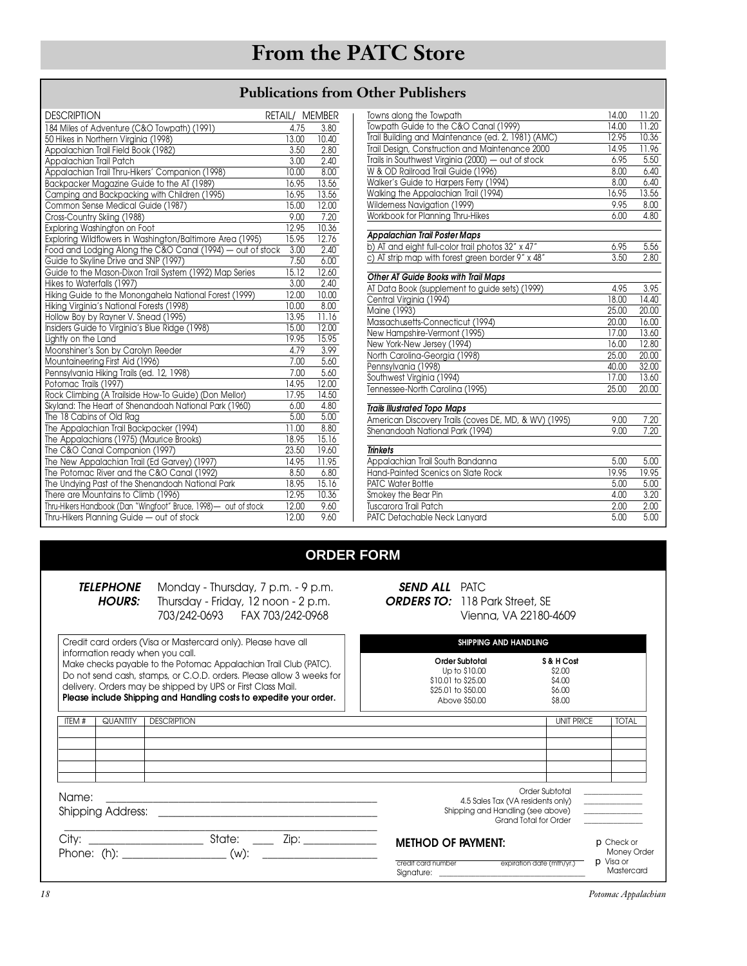### **Publications from Other Publishers**

| <b>DESCRIPTION</b>                                              | RETAIL/ MEMBER |       |
|-----------------------------------------------------------------|----------------|-------|
| 184 Miles of Adventure (C&O Towpath) (1991)                     | 4.75           | 3.80  |
| 50 Hikes in Northern Virginia (1998)                            | 13.00          | 10.40 |
| Appalachian Trail Field Book (1982)                             | 3.50           | 2.80  |
| Appalachian Trail Patch                                         | 3.00           | 2.40  |
| Appalachian Trail Thru-Hikers' Companion (1998)                 | 10.00          | 8.00  |
| Backpacker Magazine Guide to the AT (1989)                      | 16.95          | 13.56 |
| Camping and Backpacking with Children (1995)                    | 16.95          | 13.56 |
| Common Sense Medical Guide (1987)                               | 15.00          | 12.00 |
| Cross-Country Skiing (1988)                                     | 9.00           | 7.20  |
| Exploring Washington on Foot                                    | 12.95          | 10.36 |
| Exploring Wildflowers in Washington/Baltimore Area (1995)       | 15.95          | 12.76 |
| Food and Lodging Along the C&O Canal (1994) — out of stock      | 3.00           | 2.40  |
| Guide to Skyline Drive and SNP (1997)                           | 7.50           | 6.00  |
| Guide to the Mason-Dixon Trail System (1992) Map Series         | 15.12          | 12.60 |
| Hikes to Waterfalls (1997)                                      | 3.00           | 2.40  |
| Hiking Guide to the Monongahela National Forest (1999)          | 12.00          | 10.00 |
| Hiking Virginia's National Forests (1998)                       | 10.00          | 8.00  |
| Hollow Boy by Rayner V. Snead (1995)                            | 13.95          | 11.16 |
| Insiders Guide to Virginia's Blue Ridge (1998)                  | 15.00          | 12.00 |
| Lightly on the Land                                             | 19.95          | 15.95 |
| Moonshiner's Son by Carolyn Reeder                              | 4.79           | 3.99  |
| Mountaineering First Aid (1996)                                 | 7.00           | 5.60  |
| Pennsylvania Hiking Trails (ed. 12, 1998)                       | 7.00           | 5.60  |
| Potomac Trails (1997)                                           | 14.95          | 12.00 |
| Rock Climbing (A Trailside How-To Guide) (Don Mellor)           | 17.95          | 14.50 |
| Skyland: The Heart of Shenandoah National Park (1960)           | 6.00           | 4.80  |
| The 18 Cabins of Old Rag                                        | 5.00           | 5.00  |
| The Appalachian Trail Backpacker (1994)                         | 11.00          | 8.80  |
| The Appalachians (1975) (Maurice Brooks)                        | 18.95          | 15.16 |
| The C&O Canal Companion (1997)                                  | 23.50          | 19.60 |
| The New Appalachian Trail (Ed Garvey) (1997)                    | 14.95          | 11.95 |
| The Potomac River and the C&O Canal (1992)                      | 8.50           | 6.80  |
| The Undying Past of the Shenandoah National Park                | 18.95          | 15.16 |
| There are Mountains to Climb (1996)                             | 12.95          | 10.36 |
| Thru-Hikers Handbook (Dan "Wingfoot" Bruce, 1998)- out of stock | 12.00          | 9.60  |
| Thru-Hikers Planning Guide - out of stock                       | 12.00          | 9.60  |

| Towns along the Towpath                               | 14.00 | 11.20 |
|-------------------------------------------------------|-------|-------|
| Towpath Guide to the C&O Canal (1999)                 | 14.00 | 11.20 |
| Trail Building and Maintenance (ed. 2, 1981) (AMC)    | 12.95 | 10.36 |
| Trail Design, Construction and Maintenance 2000       | 14.95 | 11.96 |
| Trails in Southwest Virginia (2000) - out of stock    | 6.95  | 5.50  |
| W & OD Railroad Trail Guide (1996)                    | 8.00  | 6.40  |
| Walker's Guide to Harpers Ferry (1994)                | 8.00  | 6.40  |
| Walking the Appalachian Trail (1994)                  | 16.95 | 13.56 |
| Wilderness Navigation (1999)                          | 9.95  | 8.00  |
| Workbook for Planning Thru-Hikes                      | 6.00  | 4.80  |
| <b>Appalachian Trail Poster Maps</b>                  |       |       |
| b) AT and eight full-color trail photos 32" x 47"     | 6.95  | 5.56  |
| c) AT strip map with forest green border 9" x 48"     | 3.50  | 2.80  |
| Other AT Guide Books with Trail Maps                  |       |       |
| AT Data Book (supplement to guide sets) (1999)        | 4.95  | 3.95  |
| Central Virginia (1994)                               | 18.00 | 14.40 |
| Maine (1993)                                          | 25.00 | 20,00 |
| Massachusetts-Connecticut (1994)                      | 20.00 | 16.00 |
| New Hampshire-Vermont (1995)                          | 17.00 | 13.60 |
| New York-New Jersey (1994)                            | 16.00 | 12.80 |
| North Carolina-Georgia (1998)                         | 25.00 | 20.00 |
| Pennsylvania (1998)                                   | 40,00 | 32.00 |
| Southwest Virginia (1994)                             | 17.00 | 13.60 |
| Tennessee-North Carolina (1995)                       | 25.00 | 20.00 |
| <b>Trails Illustrated Topo Maps</b>                   |       |       |
| American Discovery Trails (coves DE, MD, & WV) (1995) | 9.00  | 7.20  |
| Shenandoah National Park (1994)                       | 9.00  | 7.20  |
| <b>Trinkets</b>                                       |       |       |
| Appalachian Trail South Bandanna                      | 5.00  | 5.00  |
| Hand-Painted Scenics on Slate Rock                    | 19.95 | 19.95 |
| PATC Water Bottle                                     | 5.00  | 5.00  |
| Smokey the Bear Pin                                   | 4.00  | 3.20  |
| <b>Tuscarora Trail Patch</b>                          | 2.00  | 2.00  |
| PATC Detachable Neck Lanyard                          | 5.00  | 5.00  |
|                                                       |       |       |

### **ORDER FORM**

| TELEPHONE     |
|---------------|
| <b>HOURS:</b> |
|               |

Monday - Thursday, 7 p.m. - 9 p.m.<br>Thursday - Friday, 12 noon - 2 p.m.  $T_{02}$   $T_{04}$   $T_{04}$   $T_{02}$   $T_{04}$   $T_{04}$   $T_{04}$   $T_{04}$   $T_{04}$   $T_{04}$  $703/242098$  Fax  $700/242098$ 

| <b>SEND ALL PATC</b>                  |
|---------------------------------------|
| <b>ORDERS TO:</b> 118 Park Street, SE |
| Vienna, VA 22180-4609                 |
|                                       |

 $S<sub>3</sub>$  , and are:

| Credit card orders (Visa or Mastercard only). Please have all<br>information ready when you call.<br>Make checks payable to the Potomac Appalachian Trail Club (PATC).<br>Do not send cash, stamps, or C.O.D. orders. Please allow 3 weeks for<br>delivery. Orders may be shipped by UPS or First Class Mail.<br>Please include Shipping and Handling costs to expedite your order. |          |                      | SHIPPING AND HANDLING |                                                                                                                |                                                    |                                                               |
|-------------------------------------------------------------------------------------------------------------------------------------------------------------------------------------------------------------------------------------------------------------------------------------------------------------------------------------------------------------------------------------|----------|----------------------|-----------------------|----------------------------------------------------------------------------------------------------------------|----------------------------------------------------|---------------------------------------------------------------|
|                                                                                                                                                                                                                                                                                                                                                                                     |          |                      |                       | Order Subtotal<br>Up to \$10.00<br>\$10.01 to \$25.00<br>\$25.01 to \$50.00<br>Above \$50,00                   | S & H Cost<br>\$2.00<br>\$4.00<br>\$6.00<br>\$8.00 |                                                               |
| ITEM#                                                                                                                                                                                                                                                                                                                                                                               | QUANTITY | <b>DESCRIPTION</b>   |                       |                                                                                                                | <b>UNIT PRICE</b>                                  | <b>TOTAL</b>                                                  |
|                                                                                                                                                                                                                                                                                                                                                                                     |          |                      |                       |                                                                                                                |                                                    |                                                               |
|                                                                                                                                                                                                                                                                                                                                                                                     |          |                      |                       |                                                                                                                |                                                    |                                                               |
|                                                                                                                                                                                                                                                                                                                                                                                     |          |                      |                       |                                                                                                                |                                                    |                                                               |
|                                                                                                                                                                                                                                                                                                                                                                                     |          |                      |                       |                                                                                                                | Order Subtotal                                     |                                                               |
| Name:                                                                                                                                                                                                                                                                                                                                                                               |          |                      |                       | 4.5 Sales Tax (VA residents only)                                                                              |                                                    | <u> The Communication</u>                                     |
| <b>Shipping Address:</b><br><u> 1989 - Johann Stein, markin fan de Frysk kampen oantal fan de Fryske kampen oantal fan de Fryske kampen oantal</u>                                                                                                                                                                                                                                  |          |                      |                       | Shipping and Handling (see above)<br>Grand Total for Order                                                     |                                                    | $\frac{1}{2}$ . The contract of the contract of $\frac{1}{2}$ |
|                                                                                                                                                                                                                                                                                                                                                                                     |          | Zip: _______________ |                       | <b>METHOD OF PAYMENT:</b><br>credit card number                                                                | expiration date (mth/yr.)                          | $\Box$ Check or<br><b>Money Order</b><br>$\Box$ Visa or       |
|                                                                                                                                                                                                                                                                                                                                                                                     |          |                      |                       | Signature: the contract of the contract of the contract of the contract of the contract of the contract of the |                                                    | Mastercard                                                    |

*18 Potomac Appalachian*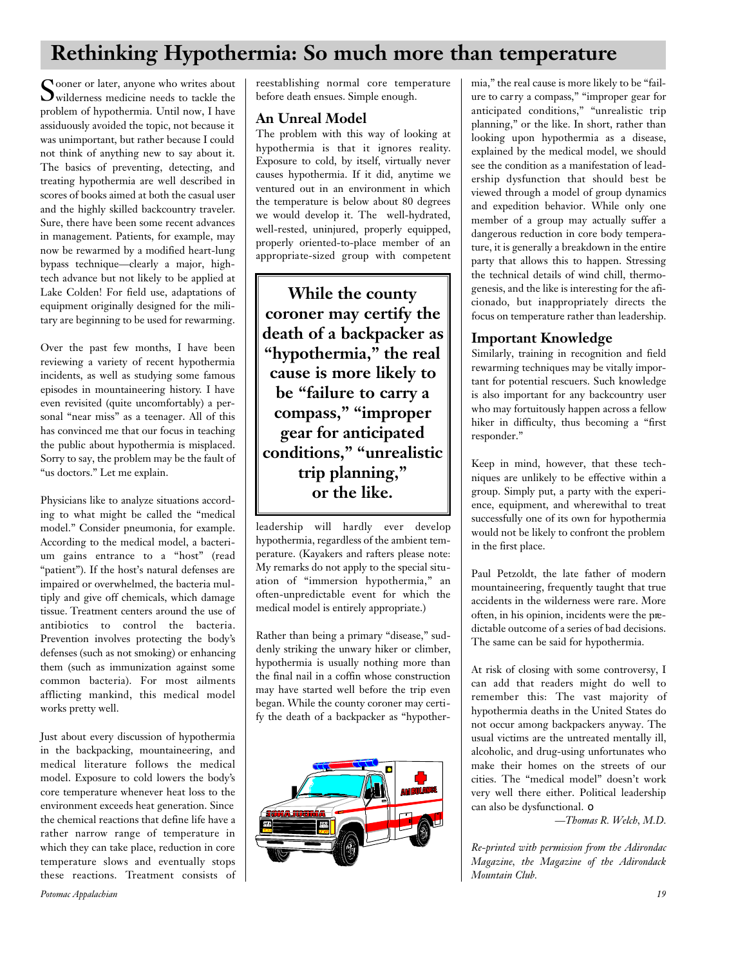## **Rethinking Hypothermia: So much more than temperature**

Sooner or later, anyone who writes about<br>
wilderness medicine needs to tackle the wilderness medicine needs to tackle the problem of hypothermia. Until now, I have assiduously avoided the topic, not because it was unimportant, but rather because I could not think of anything new to say about it. The basics of preventing, detecting, and treating hypothermia are well described in scores of books aimed at both the casual user and the highly skilled backcountry traveler. Sure, there have been some recent advances in management. Patients, for example, may now be rewarmed by a modified heart-lung bypass technique—clearly a major, hightech advance but not likely to be applied at Lake Colden! For field use, adaptations of equipment originally designed for the military are beginning to be used for rewarming.

Over the past few months, I have been reviewing a variety of recent hypothermia incidents, as well as studying some famous episodes in mountaineering history. I have even revisited (quite uncomfortably) a personal "near miss" as a teenager. All of this has convinced me that our focus in teaching the public about hypothermia is misplaced. Sorry to say, the problem may be the fault of "us doctors." Let me explain.

Physicians like to analyze situations according to what might be called the "medical model." Consider pneumonia, for example. According to the medical model, a bacterium gains entrance to a "host" (read "patient"). If the host's natural defenses are impaired or overwhelmed, the bacteria multiply and give off chemicals, which damage tissue. Treatment centers around the use of antibiotics to control the bacteria. Prevention involves protecting the body's defenses (such as not smoking) or enhancing them (such as immunization against some common bacteria). For most ailments afflicting mankind, this medical model works pretty well.

Just about every discussion of hypothermia in the backpacking, mountaineering, and medical literature follows the medical model. Exposure to cold lowers the body's core temperature whenever heat loss to the environment exceeds heat generation. Since the chemical reactions that define life have a rather narrow range of temperature in which they can take place, reduction in core temperature slows and eventually stops these reactions. Treatment consists of reestablishing normal core temperature before death ensues. Simple enough.

#### **An Unreal Model**

The problem with this way of looking at hypothermia is that it ignores reality. Exposure to cold, by itself, virtually never causes hypothermia. If it did, anytime we ventured out in an environment in which the temperature is below about 80 degrees we would develop it. The well-hydrated, well-rested, uninjured, properly equipped, properly oriented-to-place member of an appropriate-sized group with competent

**While the county coroner may certify the death of a backpacker as "hypothermia," the real cause is more likely to be "failure to carry a compass," "improper gear for anticipated conditions," "unrealistic trip planning," or the like.**

leadership will hardly ever develop hypothermia, regardless of the ambient temperature. (Kayakers and rafters please note: My remarks do not apply to the special situation of "immersion hypothermia," an often-unpredictable event for which the medical model is entirely appropriate.)

Rather than being a primary "disease," suddenly striking the unwary hiker or climber, hypothermia is usually nothing more than the final nail in a coffin whose construction may have started well before the trip even began. While the county coroner may certify the death of a backpacker as "hypother-



mia," the real cause is more likely to be "failure to carry a compass," "improper gear for anticipated conditions," "unrealistic trip planning," or the like. In short, rather than looking upon hypothermia as a disease, explained by the medical model, we should see the condition as a manifestation of leadership dysfunction that should best be viewed through a model of group dynamics and expedition behavior. While only one member of a group may actually suffer a dangerous reduction in core body temperature, it is generally a breakdown in the entire party that allows this to happen. Stressing the technical details of wind chill, thermogenesis, and the like is interesting for the aficionado, but inappropriately directs the focus on temperature rather than leadership.

#### **Important Knowledge**

Similarly, training in recognition and field rewarming techniques may be vitally important for potential rescuers. Such knowledge is also important for any backcountry user who may fortuitously happen across a fellow hiker in difficulty, thus becoming a "first responder."

Keep in mind, however, that these techniques are unlikely to be effective within a group. Simply put, a party with the experience, equipment, and wherewithal to treat successfully one of its own for hypothermia would not be likely to confront the problem in the first place.

Paul Petzoldt, the late father of modern mountaineering, frequently taught that true accidents in the wilderness were rare. More often, in his opinion, incidents were the predictable outcome of a series of bad decisions. The same can be said for hypothermia.

At risk of closing with some controversy, I can add that readers might do well to remember this: The vast majority of hypothermia deaths in the United States do not occur among backpackers anyway. The usual victims are the untreated mentally ill, alcoholic, and drug-using unfortunates who make their homes on the streets of our cities. The "medical model" doesn't work very well there either. Political leadership can also be dysfunctional. ❏

*—Thomas R. Welch, M.D.*

*Re-printed with permission from the Adirondac Magazine, the Magazine of the Adirondack Mountain Club.*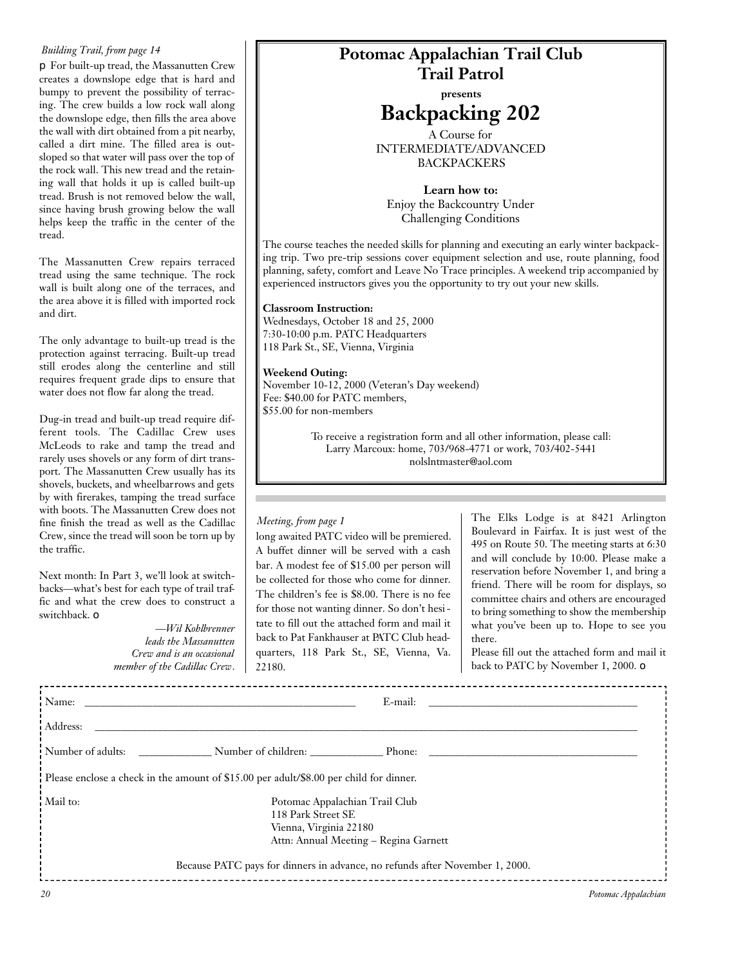#### *Building Trail, from page 14*

❐ For built-up tread, the Massanutten Crew creates a downslope edge that is hard and bumpy to prevent the possibility of terracing. The crew builds a low rock wall along the downslope edge, then fills the area above the wall with dirt obtained from a pit nearby, called a dirt mine. The filled area is outsloped so that water will pass over the top of the rock wall. This new tread and the retaining wall that holds it up is called built-up tread. Brush is not removed below the wall, since having brush growing below the wall helps keep the traffic in the center of the tread.

The Massanutten Crew repairs terraced tread using the same technique. The rock wall is built along one of the terraces, and the area above it is filled with imported rock and dirt.

The only advantage to built-up tread is the protection against terracing. Built-up tread still erodes along the centerline and still requires frequent grade dips to ensure that water does not flow far along the tread.

Dug-in tread and built-up tread require different tools. The Cadillac Crew uses McLeods to rake and tamp the tread and rarely uses shovels or any form of dirt transport. The Massanutten Crew usually has its shovels, buckets, and wheelbarrows and gets by with firerakes, tamping the tread surface with boots. The Massanutten Crew does not fine finish the tread as well as the Cadillac Crew, since the tread will soon be torn up by the traffic.

Next month: In Part 3, we'll look at switchbacks—what's best for each type of trail traffic and what the crew does to construct a switchback. ❏

> *—Wil Kohlbrenner leads the Massanutten Crew and is an occasional member of the Cadillac Crew.*

## **Potomac Appalachian Trail Club Trail Patrol**

### **presents Backpacking 202**

A Course for INTERMEDIATE/ADVANCED BACKPACKERS

**Learn how to:** Enjoy the Backcountry Under Challenging Conditions

The course teaches the needed skills for planning and executing an early winter backpacking trip. Two pre-trip sessions cover equipment selection and use, route planning, food planning, safety, comfort and Leave No Trace principles. A weekend trip accompanied by experienced instructors gives you the opportunity to try out your new skills.

#### **Classroom Instruction:**

Wednesdays, October 18 and 25, 2000 7:30-10:00 p.m. PATC Headquarters 118 Park St., SE, Vienna, Virginia

#### **Weekend Outing:**

November 10-12, 2000 (Veteran's Day weekend) Fee: \$40.00 for PATC members, \$55.00 for non-members

> To receive a registration form and all other information, please call: Larry Marcoux: home, 703/968-4771 or work, 703/402-5441 nolslntmaster@aol.com

#### *Meeting, from page 1*

long awaited PATC video will be premiered. A buffet dinner will be served with a cash bar. A modest fee of \$15.00 per person will be collected for those who come for dinner. The children's fee is \$8.00. There is no fee for those not wanting dinner. So don't hesitate to fill out the attached form and mail it back to Pat Fankhauser at PATC Club headquarters, 118 Park St., SE, Vienna, Va. 22180.

The Elks Lodge is at 8421 Arlington Boulevard in Fairfax. It is just west of the 495 on Route 50. The meeting starts at 6:30 and will conclude by 10:00. Please make a reservation before November 1, and bring a friend. There will be room for displays, so committee chairs and others are encouraged to bring something to show the membership what you've been up to. Hope to see you there.

Please fill out the attached form and mail it back to PATC by November 1, 2000. ❏

| Name:             | E-mail:                                                                                                                                                                                                 |                     |
|-------------------|---------------------------------------------------------------------------------------------------------------------------------------------------------------------------------------------------------|---------------------|
| Address:          |                                                                                                                                                                                                         |                     |
| Number of adults: | Number of children: Phone:                                                                                                                                                                              |                     |
|                   | Please enclose a check in the amount of \$15.00 per adult/\$8.00 per child for dinner.                                                                                                                  |                     |
| Mail to:          | Potomac Appalachian Trail Club<br>118 Park Street SE<br>Vienna, Virginia 22180<br>Attn: Annual Meeting - Regina Garnett<br>Because PATC pays for dinners in advance, no refunds after November 1, 2000. |                     |
| 20                |                                                                                                                                                                                                         | Potomac Appalachian |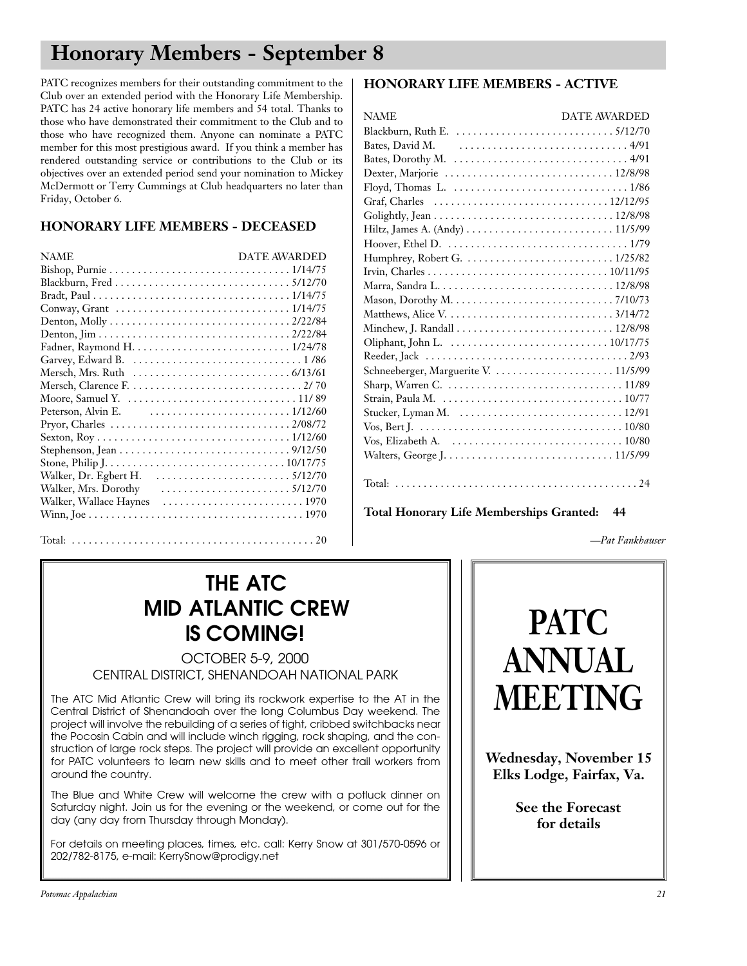## **Honorary Members - September 8**

PATC recognizes members for their outstanding commitment to the Club over an extended period with the Honorary Life Membership. PATC has 24 active honorary life members and 54 total. Thanks to those who have demonstrated their commitment to the Club and to those who have recognized them. Anyone can nominate a PATC member for this most prestigious award. If you think a member has rendered outstanding service or contributions to the Club or its objectives over an extended period send your nomination to Mickey McDermott or Terry Cummings at Club headquarters no later than Friday, October 6.

#### **HONORARY LIFE MEMBERS - DECEASED**

#### **HONORARY LIFE MEMBERS - ACTIVE**

| <b>NAME</b>                                                                           | <b>DATE AWARDED</b> |
|---------------------------------------------------------------------------------------|---------------------|
|                                                                                       |                     |
| Bates, David M. $\ldots \ldots \ldots \ldots \ldots \ldots \ldots \ldots \ldots$ 4/91 |                     |
|                                                                                       |                     |
| Dexter, Marjorie  12/8/98                                                             |                     |
|                                                                                       |                     |
|                                                                                       |                     |
|                                                                                       |                     |
|                                                                                       |                     |
|                                                                                       |                     |
| Humphrey, Robert G.  1/25/82                                                          |                     |
|                                                                                       |                     |
|                                                                                       |                     |
|                                                                                       |                     |
|                                                                                       |                     |
|                                                                                       |                     |
|                                                                                       |                     |
|                                                                                       |                     |
| Schneeberger, Marguerite V.  11/5/99                                                  |                     |
|                                                                                       |                     |
|                                                                                       |                     |
|                                                                                       |                     |
|                                                                                       |                     |
|                                                                                       |                     |
|                                                                                       |                     |
|                                                                                       |                     |
|                                                                                       |                     |

**Total Honorary Life Memberships Granted: 44**

Total: . . . . . . . . . . . . . . . . . . . . . . . . . . . . . . . . . . . . . . . . . . . 20

# **THE ATC<br>MID ATLANTIC CREW IS COMING!**

**OCTOBER 5-9, 2000** OCTOBER 5-97, 2000<br>NCT SHENIANDOAH N CENTRAL DISTRICT, SHENANDOAH NATIONAL PARK

The ATC Mid Atlantic Crew will bring its rockwork expertise to the AT in the Central District of Shenandoah over the long Columbus Day weekend. The project will involve the rebuilding of a series of tight, cribbed switchbacks near the Pocosin Cabin and will include winch rigging, rock shaping, and the construction of large rock steps. The project will provide an excellent opportunity for PATC volunteers to learn new skills and to meet other trail workers from for PATC volunteers to learn new skills and to meet official workers from around the country.

The Blue and White Crew will welcome the crew with a potluck dinner on Saturday night. Join us for the evening or the weekend, or come out for the Saturday night. Join us for the evening or the weekend, or come out for the day (any day from Thursday through Monday).

 $F \sim 201$  details on meeting places, times, etc. call:  $K \sim 202/382.8175$  or method or  $202/782$  8175, e-mail: KerrySnow oprodigy.net

# **PATC ANNUAL MEETING**

*—Pat Fankhauser*

**Wednesday, November 15 Elks Lodge, Fairfax, Va.**

> **See the Forecast for details**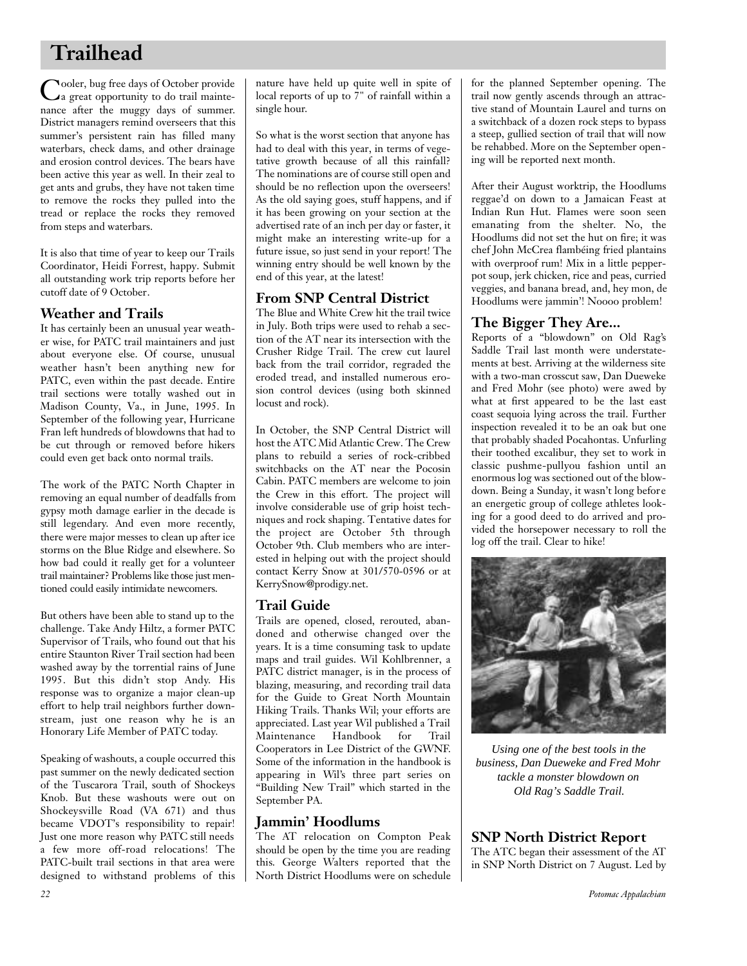## **Trailhead**

Cooler, bug free days of October provide<br>Ca great opportunity to do trail mainteooler, bug free days of October provide nance after the muggy days of summer. District managers remind overseers that this summer's persistent rain has filled many waterbars, check dams, and other drainage and erosion control devices. The bears have been active this year as well. In their zeal to get ants and grubs, they have not taken time to remove the rocks they pulled into the tread or replace the rocks they removed from steps and waterbars.

It is also that time of year to keep our Trails Coordinator, Heidi Forrest, happy. Submit all outstanding work trip reports before her cutoff date of 9 October.

#### **Weather and Trails**

It has certainly been an unusual year weather wise, for PATC trail maintainers and just about everyone else. Of course, unusual weather hasn't been anything new for PATC, even within the past decade. Entire trail sections were totally washed out in Madison County, Va., in June, 1995. In September of the following year, Hurricane Fran left hundreds of blowdowns that had to be cut through or removed before hikers could even get back onto normal trails.

The work of the PATC North Chapter in removing an equal number of deadfalls from gypsy moth damage earlier in the decade is still legendary. And even more recently, there were major messes to clean up after ice storms on the Blue Ridge and elsewhere. So how bad could it really get for a volunteer trail maintainer? Problems like those just mentioned could easily intimidate newcomers.

But others have been able to stand up to the challenge. Take Andy Hiltz, a former PATC Supervisor of Trails, who found out that his entire Staunton River Trail section had been washed away by the torrential rains of June 1995. But this didn't stop Andy. His response was to organize a major clean-up effort to help trail neighbors further downstream, just one reason why he is an Honorary Life Member of PATC today.

Speaking of washouts, a couple occurred this past summer on the newly dedicated section of the Tuscarora Trail, south of Shockeys Knob. But these washouts were out on Shockeysville Road (VA 671) and thus became VDOT's responsibility to repair! Just one more reason why PATC still needs a few more off-road relocations! The PATC-built trail sections in that area were designed to withstand problems of this

nature have held up quite well in spite of local reports of up to 7" of rainfall within a single hour.

So what is the worst section that anyone has had to deal with this year, in terms of vegetative growth because of all this rainfall? The nominations are of course still open and should be no reflection upon the overseers! As the old saying goes, stuff happens, and if it has been growing on your section at the advertised rate of an inch per day or faster, it might make an interesting write-up for a future issue, so just send in your report! The winning entry should be well known by the end of this year, at the latest!

### **From SNP Central District**

The Blue and White Crew hit the trail twice in July. Both trips were used to rehab a section of the AT near its intersection with the Crusher Ridge Trail. The crew cut laurel back from the trail corridor, regraded the eroded tread, and installed numerous erosion control devices (using both skinned locust and rock).

In October, the SNP Central District will host the ATC Mid Atlantic Crew. The Crew plans to rebuild a series of rock-cribbed switchbacks on the AT near the Pocosin Cabin. PATC members are welcome to join the Crew in this effort. The project will involve considerable use of grip hoist techniques and rock shaping. Tentative dates for the project are October 5th through October 9th. Club members who are interested in helping out with the project should contact Kerry Snow at 301/570-0596 or at KerrySnow@prodigy.net.

#### **Trail Guide**

Trails are opened, closed, rerouted, abandoned and otherwise changed over the years. It is a time consuming task to update maps and trail guides. Wil Kohlbrenner, a PATC district manager, is in the process of blazing, measuring, and recording trail data for the Guide to Great North Mountain Hiking Trails. Thanks Wil; your efforts are appreciated. Last year Wil published a Trail Maintenance Handbook for Trail Cooperators in Lee District of the GWNF. Some of the information in the handbook is appearing in Wil's three part series on "Building New Trail" which started in the September PA.

#### **Jammin' Hoodlums**

The AT relocation on Compton Peak should be open by the time you are reading this. George Walters reported that the North District Hoodlums were on schedule for the planned September opening. The trail now gently ascends through an attractive stand of Mountain Laurel and turns on a switchback of a dozen rock steps to bypass a steep, gullied section of trail that will now be rehabbed. More on the September opening will be reported next month.

After their August worktrip, the Hoodlums reggae'd on down to a Jamaican Feast at Indian Run Hut. Flames were soon seen emanating from the shelter. No, the Hoodlums did not set the hut on fire; it was chef John McCrea flambéing fried plantains with overproof rum! Mix in a little pepperpot soup, jerk chicken, rice and peas, curried veggies, and banana bread, and, hey mon, de Hoodlums were jammin'! Noooo problem!

#### **The Bigger They Are...**

Reports of a "blowdown" on Old Rag's Saddle Trail last month were understatements at best. Arriving at the wilderness site with a two-man crosscut saw, Dan Dueweke and Fred Mohr (see photo) were awed by what at first appeared to be the last east coast sequoia lying across the trail. Further inspection revealed it to be an oak but one that probably shaded Pocahontas. Unfurling their toothed excalibur, they set to work in classic pushme-pullyou fashion until an enormous log was sectioned out of the blowdown. Being a Sunday, it wasn't long before an energetic group of college athletes looking for a good deed to do arrived and provided the horsepower necessary to roll the log off the trail. Clear to hike!



*Using one of the best tools in the business, Dan Dueweke and Fred Mohr tackle a monster blowdown on Old Rag's Saddle Trail.*

### **SNP North District Report**

The ATC began their assessment of the AT in SNP North District on 7 August. Led by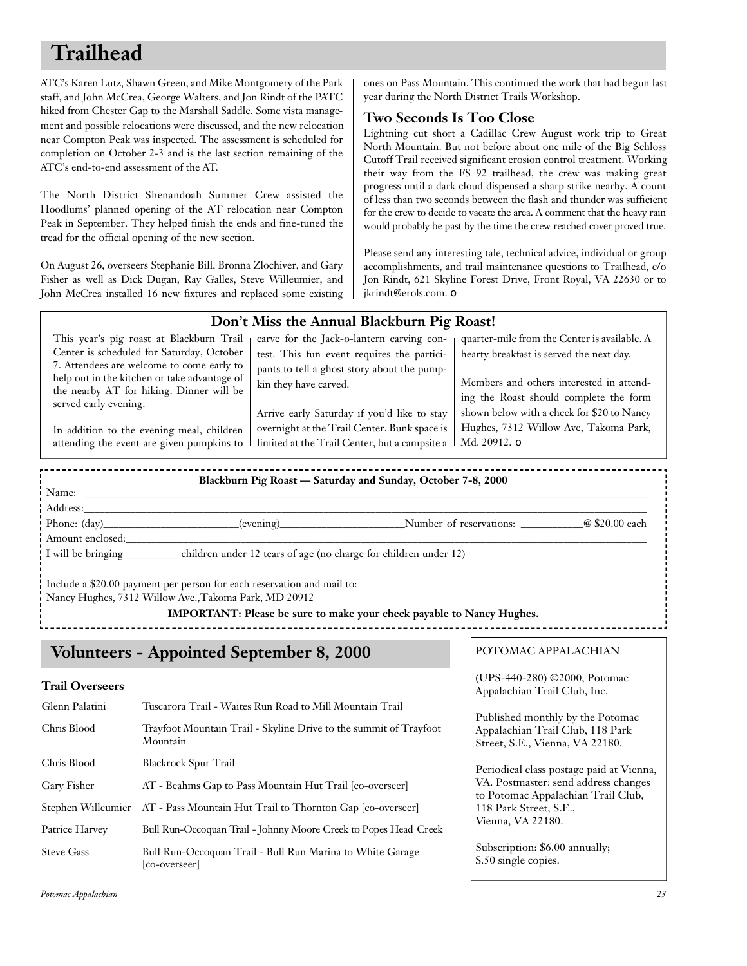## **Trailhead**

ATC's Karen Lutz, Shawn Green, and Mike Montgomery of the Park staff, and John McCrea, George Walters, and Jon Rindt of the PATC hiked from Chester Gap to the Marshall Saddle. Some vista management and possible relocations were discussed, and the new relocation near Compton Peak was inspected. The assessment is scheduled for completion on October 2-3 and is the last section remaining of the ATC's end-to-end assessment of the AT.

The North District Shenandoah Summer Crew assisted the Hoodlums' planned opening of the AT relocation near Compton Peak in September. They helped finish the ends and fine-tuned the tread for the official opening of the new section.

On August 26, overseers Stephanie Bill, Bronna Zlochiver, and Gary Fisher as well as Dick Dugan, Ray Galles, Steve Willeumier, and John McCrea installed 16 new fixtures and replaced some existing ones on Pass Mountain. This continued the work that had begun last year during the North District Trails Workshop.

#### **Two Seconds Is Too Close**

Lightning cut short a Cadillac Crew August work trip to Great North Mountain. But not before about one mile of the Big Schloss Cutoff Trail received significant erosion control treatment. Working their way from the FS 92 trailhead, the crew was making great progress until a dark cloud dispensed a sharp strike nearby. A count of less than two seconds between the flash and thunder was sufficient for the crew to decide to vacate the area. A comment that the heavy rain would probably be past by the time the crew reached cover proved true.

Please send any interesting tale, technical advice, individual or group accomplishments, and trail maintenance questions to Trailhead, c/o Jon Rindt, 621 Skyline Forest Drive, Front Royal, VA 22630 or to jkrindt@erols.com. ❏

#### **Don't Miss the Annual Blackburn Pig Roast! Blackburn Pig Roast — Saturday and Sunday, October 7-8, 2000** Name: \_\_\_\_\_\_\_\_\_\_\_\_\_\_\_\_\_\_\_\_\_\_\_\_\_\_\_\_\_\_\_\_\_\_\_\_\_\_\_\_\_\_\_\_\_\_\_\_\_\_\_\_\_\_\_\_\_\_\_\_\_\_\_\_\_\_\_\_\_\_\_\_\_\_\_\_\_\_\_\_\_\_\_\_\_\_\_\_\_\_\_\_\_\_\_\_\_\_\_\_\_\_\_\_\_\_\_\_ Address:\_\_\_\_\_\_\_\_\_\_\_\_\_\_\_\_\_\_\_\_\_\_\_\_\_\_\_\_\_\_\_\_\_\_\_\_\_\_\_\_\_\_\_\_\_\_\_\_\_\_\_\_\_\_\_\_\_\_\_\_\_\_\_\_\_\_\_\_\_\_\_\_\_\_\_\_\_\_\_\_\_\_\_\_\_\_\_\_\_\_\_\_\_\_\_\_\_\_\_\_\_\_\_\_\_\_\_\_ Phone: (day)\_\_\_\_\_\_\_\_\_\_\_\_\_\_\_\_\_\_\_\_\_\_(evening)\_\_\_\_\_\_\_\_\_\_\_\_\_\_\_\_\_\_\_\_\_\_Number of reservations: \_\_\_\_\_\_\_\_\_\_\_@ \$20.00 each This year's pig roast at Blackburn Trail Center is scheduled for Saturday, October 7. Attendees are welcome to come early to help out in the kitchen or take advantage of the nearby AT for hiking. Dinner will be served early evening. In addition to the evening meal, children attending the event are given pumpkins to carve for the Jack-o-lantern carving contest. This fun event requires the participants to tell a ghost story about the pumpkin they have carved. Arrive early Saturday if you'd like to stay overnight at the Trail Center. Bunk space is limited at the Trail Center, but a campsite a quarter-mile from the Center is available. A hearty breakfast is served the next day. Members and others interested in attending the Roast should complete the form shown below with a check for \$20 to Nancy Hughes, 7312 Willow Ave, Takoma Park, Md. 20912. ❏

I will be bringing children under 12 tears of age (no charge for children under 12)

Include a \$20.00 payment per person for each reservation and mail to:

Nancy Hughes, 7312 Willow Ave.,Takoma Park, MD 20912

**IMPORTANT: Please be sure to make your check payable to Nancy Hughes.**

## **Volunteers - Appointed September 8, 2000**

#### **Trail Overseers**

Amount enclosed:

| Glenn Palatini    | Tuscarora Trail - Waites Run Road to Mill Mountain Trail                      |
|-------------------|-------------------------------------------------------------------------------|
| Chris Blood       | Trayfoot Mountain Trail - Skyline Drive to the summit of Trayfoot<br>Mountain |
| Chris Blood       | <b>Blackrock Spur Trail</b>                                                   |
| Gary Fisher       | AT - Beahms Gap to Pass Mountain Hut Trail [co-overseer]                      |
|                   | Stephen Willeumier AT - Pass Mountain Hut Trail to Thornton Gap [co-overseer] |
| Patrice Harvey    | Bull Run-Occoquan Trail - Johnny Moore Creek to Popes Head Creek              |
| <b>Steve Gass</b> | Bull Run-Occoquan Trail - Bull Run Marina to White Garage<br>[co-overseer]    |

#### POTOMAC APPALACHIAN

(UPS-440-280) ©2000, Potomac Appalachian Trail Club, Inc.

Published monthly by the Potomac Appalachian Trail Club, 118 Park Street, S.E., Vienna, VA 22180.

Periodical class postage paid at Vienna, VA. Postmaster: send address changes to Potomac Appalachian Trail Club, 118 Park Street, S.E., Vienna, VA 22180.

Subscription: \$6.00 annually; \$.50 single copies.